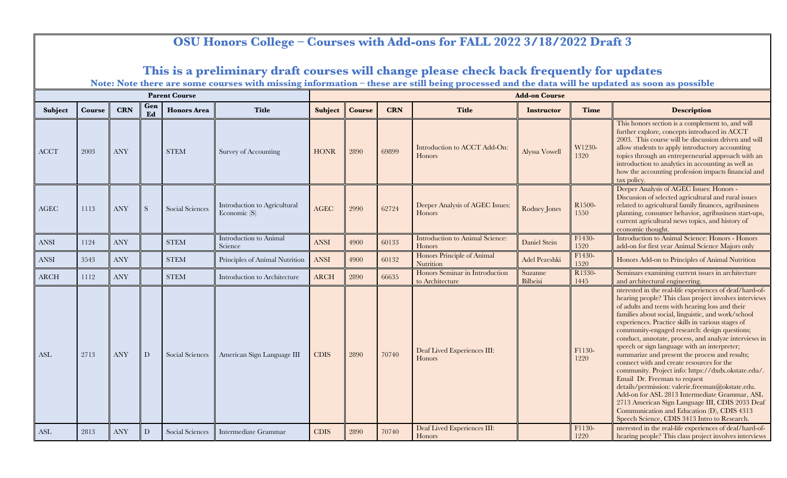|                       |               |            |             |                      |                                                |             |               |            | OSU Honors College – Courses with Add-ons for FALL 2022 3/18/2022 Draft 3                                                                                                                                                                 |                      |                |                                                                                                                                                                                                                                                                                                                                                                                                                                                                                                                                                                                                                                                                                                                                                                                                                                                                                       |
|-----------------------|---------------|------------|-------------|----------------------|------------------------------------------------|-------------|---------------|------------|-------------------------------------------------------------------------------------------------------------------------------------------------------------------------------------------------------------------------------------------|----------------------|----------------|---------------------------------------------------------------------------------------------------------------------------------------------------------------------------------------------------------------------------------------------------------------------------------------------------------------------------------------------------------------------------------------------------------------------------------------------------------------------------------------------------------------------------------------------------------------------------------------------------------------------------------------------------------------------------------------------------------------------------------------------------------------------------------------------------------------------------------------------------------------------------------------|
|                       |               |            |             |                      |                                                |             |               |            | This is a preliminary draft courses will change please check back frequently for updates<br>Note: Note there are some courses with missing information - these are still being processed and the data will be updated as soon as possible |                      |                |                                                                                                                                                                                                                                                                                                                                                                                                                                                                                                                                                                                                                                                                                                                                                                                                                                                                                       |
|                       |               |            |             | <b>Parent Course</b> |                                                |             |               |            |                                                                                                                                                                                                                                           | <b>Add-on Course</b> |                |                                                                                                                                                                                                                                                                                                                                                                                                                                                                                                                                                                                                                                                                                                                                                                                                                                                                                       |
| Subject               | <b>Course</b> | <b>CRN</b> | Gen<br>Ed   | <b>Honors</b> Area   | <b>Title</b>                                   | Subject     | <b>Course</b> | <b>CRN</b> | <b>Title</b>                                                                                                                                                                                                                              | <b>Instructor</b>    | <b>Time</b>    | <b>Description</b>                                                                                                                                                                                                                                                                                                                                                                                                                                                                                                                                                                                                                                                                                                                                                                                                                                                                    |
| <b>ACCT</b>           | 2003          | <b>ANY</b> |             | <b>STEM</b>          | Survey of Accounting                           | <b>HONR</b> | 2890          | 69899      | Introduction to ACCT Add-On:<br>Honors                                                                                                                                                                                                    | Alyssa Vowell        | W1230-<br>1320 | This honors section is a complement to, and will<br>further explore, concepts introduced in ACCT<br>2003. This course will be discussion driven and will<br>allow students to apply introductory accounting<br>topics through an entrepreneurial approach with an<br>introduction to analytics in accounting as well as<br>how the accounting profession impacts financial and<br>tax policy.                                                                                                                                                                                                                                                                                                                                                                                                                                                                                         |
| <b>AGEC</b>           | 1113          | <b>ANY</b> | S           | Social Sciences      | Introduction to Agricultural<br>Economic $(S)$ | AGEC        | 2990          | 62724      | Deeper Analysis of AGEC Issues:<br>Honors                                                                                                                                                                                                 | Rodney Jones         | R1500-<br>1550 | Deeper Analysis of AGEC Issues: Honors -<br>Discussion of selected agricultural and rural issues<br>related to agricultural family finances, agribusiness<br>planning, consumer behavior, agribusiness start-ups,<br>current agricultural news topics, and history of<br>economic thought.                                                                                                                                                                                                                                                                                                                                                                                                                                                                                                                                                                                            |
| <b>ANSI</b>           | 1124          | <b>ANY</b> |             | <b>STEM</b>          | Introduction to Animal<br>Science              | <b>ANSI</b> | 4900          | 60133      | <b>Introduction to Animal Science:</b><br>Honors                                                                                                                                                                                          | Daniel Stein         | F1430-<br>1520 | Introduction to Animal Science: Honors - Honors<br>add-on for first year Animal Science Majors only                                                                                                                                                                                                                                                                                                                                                                                                                                                                                                                                                                                                                                                                                                                                                                                   |
| $\operatorname{ANSI}$ | 3543          | <b>ANY</b> |             | <b>STEM</b>          | Principles of Animal Nutrition                 | <b>ANSI</b> | 4900          | 60132      | Honors Principle of Animal<br>Nutrition                                                                                                                                                                                                   | Adel Pezeshki        | F1430-<br>1520 | Honors Add-on to Principles of Animal Nutrition                                                                                                                                                                                                                                                                                                                                                                                                                                                                                                                                                                                                                                                                                                                                                                                                                                       |
| <b>ARCH</b>           | 1112          | <b>ANY</b> |             | <b>STEM</b>          | Introduction to Architecture                   | <b>ARCH</b> | 2890          | 66635      | Honors Seminar in Introduction<br>to Architecture                                                                                                                                                                                         | Suzanne<br>Bilbeisi  | R1330-<br>1445 | Seminars examining current issues in architecture<br>and architectural engineering.                                                                                                                                                                                                                                                                                                                                                                                                                                                                                                                                                                                                                                                                                                                                                                                                   |
| ASL                   | 2713          | <b>ANY</b> | D           | Social Sciences      | American Sign Language III                     | <b>CDIS</b> | 2890          | 70740      | Deaf Lived Experiences III:<br>Honors                                                                                                                                                                                                     |                      | F1130-<br>1220 | nterested in the real-life experiences of deaf/hard-of-<br>hearing people? This class project involves interviews<br>of adults and teens with hearing loss and their<br>families about social, linguistic, and work/school<br>experiences. Practice skills in various stages of<br>community-engaged research: design questions;<br>conduct, annotate, process, and analyze interviews in<br>speech or sign language with an interpreter;<br>summarize and present the process and results;<br>connect with and create resources for the<br>community. Project info: https://dxdx.okstate.edu/.<br>Email Dr. Freeman to request<br>details/permission: valerie.freeman@okstate.edu.<br>Add-on for ASL 2813 Intermediate Grammar, ASL<br>2713 American Sign Language III, CDIS 2033 Deaf<br>Communication and Education (D), CDIS 4313<br>Speech Science, CDIS 3413 Intro to Research. |
| ASL                   | 2813          | <b>ANY</b> | $\mathbf D$ | Social Sciences      | Intermediate Grammar                           | <b>CDIS</b> | 2890          | 70740      | Deaf Lived Experiences III:<br>Honors                                                                                                                                                                                                     |                      | F1130-<br>1220 | nterested in the real-life experiences of deaf/hard-of-<br>hearing people? This class project involves interviews                                                                                                                                                                                                                                                                                                                                                                                                                                                                                                                                                                                                                                                                                                                                                                     |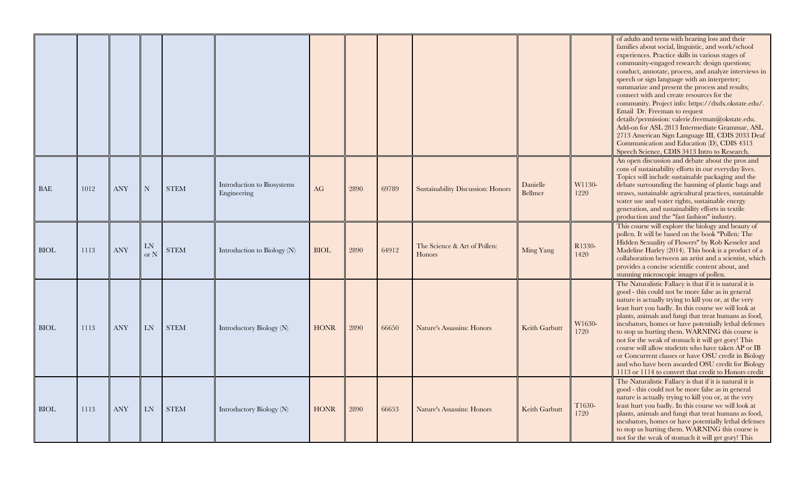|             |      |            |                  |             |                                           |             |      |       |                                          |                     |                | of adults and teens with hearing loss and their<br>families about social, linguistic, and work/school<br>experiences. Practice skills in various stages of<br>community-engaged research: design questions;<br>conduct, annotate, process, and analyze interviews in<br>speech or sign language with an interpreter;<br>summarize and present the process and results;<br>connect with and create resources for the<br>community. Project info: https://dxdx.okstate.edu/.<br>Email Dr. Freeman to request<br>details/permission: valerie.freeman@okstate.edu.<br>Add-on for ASL 2813 Intermediate Grammar, ASL<br>2713 American Sign Language III, CDIS 2033 Deaf<br>Communication and Education (D), CDIS 4313<br>Speech Science, CDIS 3413 Intro to Research. |
|-------------|------|------------|------------------|-------------|-------------------------------------------|-------------|------|-------|------------------------------------------|---------------------|----------------|------------------------------------------------------------------------------------------------------------------------------------------------------------------------------------------------------------------------------------------------------------------------------------------------------------------------------------------------------------------------------------------------------------------------------------------------------------------------------------------------------------------------------------------------------------------------------------------------------------------------------------------------------------------------------------------------------------------------------------------------------------------|
| BAE         | 1012 | <b>ANY</b> | $\mathbf N$      | <b>STEM</b> | Introduction to Biosystems<br>Engineering | AG          | 2890 | 69789 | <b>Sustainability Discussion: Honors</b> | Danielle<br>Bellmer | W1130-<br>1220 | An open discussion and debate about the pros and<br>cons of sustainability efforts in our everyday lives.<br>Topics will include sustainable packaging and the<br>debate surrounding the banning of plastic bags and<br>straws, sustainable agricultural practices, sustainable<br>water use and water rights, sustainable energy<br>generation, and sustainability efforts in textile<br>production and the "fast fashion" industry.                                                                                                                                                                                                                                                                                                                            |
| <b>BIOL</b> | 1113 | <b>ANY</b> | LN<br>$\alpha$ N | <b>STEM</b> | Introduction to Biology $(N)$             | <b>BIOL</b> | 2890 | 64912 | The Science & Art of Pollen:<br>Honors   | Ming Yang           | R1330-<br>1420 | This course will explore the biology and beauty of<br>pollen. It will be based on the book "Pollen: The<br>Hidden Sexuality of Flowers" by Rob Kesseler and<br>Madeline Harley (2014). This book is a product of a<br>collaboration between an artist and a scientist, which<br>provides a concise scientific content about, and<br>stunning microscopic images of pollen.                                                                                                                                                                                                                                                                                                                                                                                       |
| <b>BIOL</b> | 1113 | <b>ANY</b> | <b>LN</b>        | <b>STEM</b> | Introductory Biology (N)                  | <b>HONR</b> | 2890 | 66650 | Nature's Assassins: Honors               | Keith Garbutt       | W1630-<br>1720 | The Naturalistic Fallacy is that if it is natural it is<br>good - this could not be more false as in general<br>nature is actually trying to kill you or, at the very<br>least hurt you badly. In this course we will look at<br>plants, animals and fungi that treat humans as food,<br>incubators, homes or have potentially lethal defenses<br>to stop us hurting them. WARNING this course is<br>not for the weak of stomach it will get gory! This<br>course will allow students who have taken AP or IB<br>or Concurrent classes or have OSU credit in Biology<br>and who have been awarded OSU credit for Biology<br>1113 or 1114 to convert that credit to Honors credit                                                                                 |
| <b>BIOL</b> | 1113 | <b>ANY</b> | <b>LN</b>        | <b>STEM</b> | Introductory Biology (N)                  | <b>HONR</b> | 2890 | 66653 | Nature's Assassins: Honors               | Keith Garbutt       | T1630-<br>1720 | The Naturalistic Fallacy is that if it is natural it is<br>good - this could not be more false as in general<br>nature is actually trying to kill you or, at the very<br>least hurt you badly. In this course we will look at<br>plants, animals and fungi that treat humans as food,<br>incubators, homes or have potentially lethal defenses<br>to stop us hurting them. WARNING this course is<br>not for the weak of stomach it will get gory! This                                                                                                                                                                                                                                                                                                          |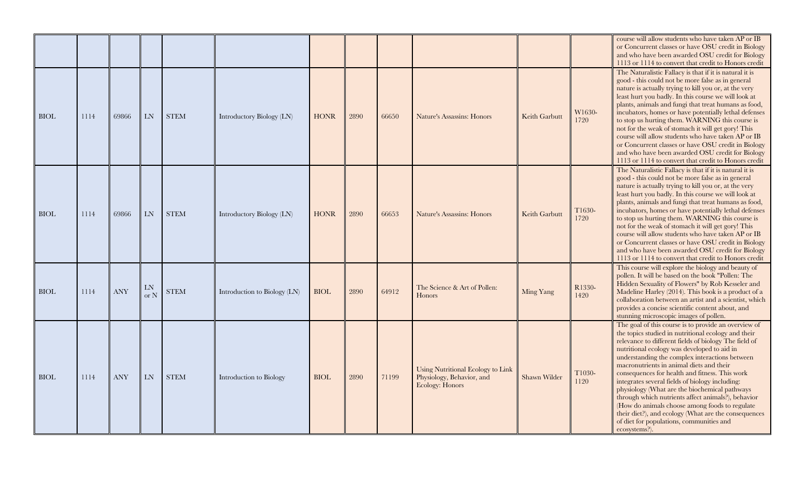|             |      |            |                  |             |                              |             |      |       |                                                                                          |               |                | course will allow students who have taken AP or IB<br>or Concurrent classes or have OSU credit in Biology<br>and who have been awarded OSU credit for Biology<br>1113 or 1114 to convert that credit to Honors credit                                                                                                                                                                                                                                                                                                                                                                                                                                                                                |
|-------------|------|------------|------------------|-------------|------------------------------|-------------|------|-------|------------------------------------------------------------------------------------------|---------------|----------------|------------------------------------------------------------------------------------------------------------------------------------------------------------------------------------------------------------------------------------------------------------------------------------------------------------------------------------------------------------------------------------------------------------------------------------------------------------------------------------------------------------------------------------------------------------------------------------------------------------------------------------------------------------------------------------------------------|
| <b>BIOL</b> | 1114 | 69866      | <b>LN</b>        | <b>STEM</b> | Introductory Biology (LN)    | <b>HONR</b> | 2890 | 66650 | Nature's Assassins: Honors                                                               | Keith Garbutt | W1630-<br>1720 | The Naturalistic Fallacy is that if it is natural it is<br>good - this could not be more false as in general<br>nature is actually trying to kill you or, at the very<br>least hurt you badly. In this course we will look at<br>plants, animals and fungi that treat humans as food,<br>incubators, homes or have potentially lethal defenses<br>to stop us hurting them. WARNING this course is<br>not for the weak of stomach it will get gory! This<br>course will allow students who have taken AP or IB<br>or Concurrent classes or have OSU credit in Biology<br>and who have been awarded OSU credit for Biology<br>1113 or 1114 to convert that credit to Honors credit                     |
| <b>BIOL</b> | 1114 | 69866      | <b>LN</b>        | <b>STEM</b> | Introductory Biology (LN)    | <b>HONR</b> | 2890 | 66653 | <b>Nature's Assassins: Honors</b>                                                        | Keith Garbutt | T1630-<br>1720 | The Naturalistic Fallacy is that if it is natural it is<br>good - this could not be more false as in general<br>nature is actually trying to kill you or, at the very<br>least hurt you badly. In this course we will look at<br>plants, animals and fungi that treat humans as food,<br>incubators, homes or have potentially lethal defenses<br>to stop us hurting them. WARNING this course is<br>not for the weak of stomach it will get gory! This<br>course will allow students who have taken AP or IB<br>or Concurrent classes or have OSU credit in Biology<br>and who have been awarded OSU credit for Biology<br>1113 or 1114 to convert that credit to Honors credit                     |
| <b>BIOL</b> | 1114 | <b>ANY</b> | LN<br>$\alpha$ N | <b>STEM</b> | Introduction to Biology (LN) | BIOL        | 2890 | 64912 | The Science & Art of Pollen:<br><b>Honors</b>                                            | Ming Yang     | R1330-<br>1420 | This course will explore the biology and beauty of<br>pollen. It will be based on the book "Pollen: The<br>Hidden Sexuality of Flowers" by Rob Kesseler and<br>Madeline Harley (2014). This book is a product of a<br>collaboration between an artist and a scientist, which<br>provides a concise scientific content about, and<br>stunning microscopic images of pollen.                                                                                                                                                                                                                                                                                                                           |
| <b>BIOL</b> | 1114 | <b>ANY</b> | LN               | <b>STEM</b> | Introduction to Biology      | <b>BIOL</b> | 2890 | 71199 | <b>Using Nutritional Ecology to Link</b><br>Physiology, Behavior, and<br>Ecology: Honors | Shawn Wilder  | T1030-<br>1120 | The goal of this course is to provide an overview of<br>the topics studied in nutritional ecology and their<br>relevance to different fields of biology The field of<br>nutritional ecology was developed to aid in<br>understanding the complex interactions between<br>macronutrients in animal diets and their<br>consequences for health and fitness. This work<br>integrates several fields of biology including:<br>physiology (What are the biochemical pathways<br>through which nutrients affect animals?), behavior<br>(How do animals choose among foods to regulate<br>their diet?), and ecology (What are the consequences<br>of diet for populations, communities and<br>ecosystems?). |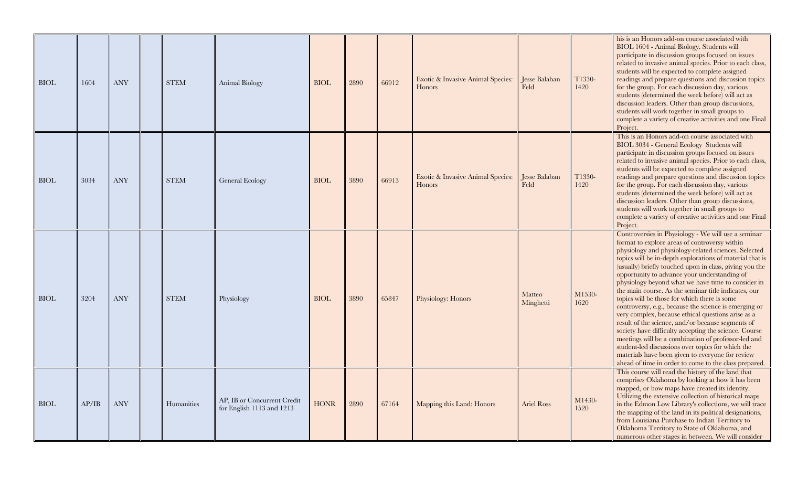| <b>BIOL</b> | 1604  | <b>ANY</b> | <b>STEM</b> | Animal Biology                                           | <b>BIOL</b> | 2890 | 66912 | Exotic & Invasive Animal Species:<br><b>Honors</b> | Jesse Balaban<br>Feld | T1330-<br>1420 | his is an Honors add-on course associated with<br>BIOL 1604 - Animal Biology. Students will<br>participate in discussion groups focused on issues<br>related to invasive animal species. Prior to each class,<br>students will be expected to complete assigned<br>readings and prepare questions and discussion topics<br>for the group. For each discussion day, various<br>students (determined the week before) will act as<br>discussion leaders. Other than group discussions,<br>students will work together in small groups to<br>complete a variety of creative activities and one Final<br>Project.                                                                                                                                                                                                                                                                                                                                           |
|-------------|-------|------------|-------------|----------------------------------------------------------|-------------|------|-------|----------------------------------------------------|-----------------------|----------------|---------------------------------------------------------------------------------------------------------------------------------------------------------------------------------------------------------------------------------------------------------------------------------------------------------------------------------------------------------------------------------------------------------------------------------------------------------------------------------------------------------------------------------------------------------------------------------------------------------------------------------------------------------------------------------------------------------------------------------------------------------------------------------------------------------------------------------------------------------------------------------------------------------------------------------------------------------|
| <b>BIOL</b> | 3034  | <b>ANY</b> | <b>STEM</b> | General Ecology                                          | <b>BIOL</b> | 3890 | 66913 | Exotic & Invasive Animal Species:<br>Honors        | Jesse Balaban<br>Feld | T1330-<br>1420 | This is an Honors add-on course associated with<br>BIOL 3034 - General Ecology Students will<br>participate in discussion groups focused on issues<br>related to invasive animal species. Prior to each class,<br>students will be expected to complete assigned<br>readings and prepare questions and discussion topics<br>for the group. For each discussion day, various<br>students (determined the week before) will act as<br>discussion leaders. Other than group discussions,<br>students will work together in small groups to<br>complete a variety of creative activities and one Final<br>Project.                                                                                                                                                                                                                                                                                                                                          |
| <b>BIOL</b> | 3204  | <b>ANY</b> | <b>STEM</b> | Physiology                                               | <b>BIOL</b> | 3890 | 65847 | Physiology: Honors                                 | Matteo<br>Minghetti   | M1530-<br>1620 | Controversies in Physiology - We will use a seminar<br>format to explore areas of controversy within<br>physiology and physiology-related sciences. Selected<br>topics will be in-depth explorations of material that is<br>(usually) briefly touched upon in class, giving you the<br>opportunity to advance your understanding of<br>physiology beyond what we have time to consider in<br>the main course. As the seminar title indicates, our<br>topics will be those for which there is some<br>controversy, e.g., because the science is emerging or<br>very complex, because ethical questions arise as a<br>result of the science, and/or because segments of<br>society have difficulty accepting the science. Course<br>meetings will be a combination of professor-led and<br>student-led discussions over topics for which the<br>materials have been given to everyone for review<br>ahead of time in order to come to the class prepared. |
| <b>BIOL</b> | AP/IB | <b>ANY</b> | Humanities  | AP, IB or Concurrent Credit<br>for English 1113 and 1213 | <b>HONR</b> | 2890 | 67164 | Mapping this Land: Honors                          | <b>Ariel Ross</b>     | M1430-<br>1520 | This course will read the history of the land that<br>comprises Oklahoma by looking at how it has been<br>mapped, or how maps have created its identity.<br>Utilizing the extensive collection of historical maps<br>in the Edmon Low Library's collections, we will trace<br>the mapping of the land in its political designations,<br>from Louisiana Purchase to Indian Territory to<br>Oklahoma Territory to State of Oklahoma, and<br>numerous other stages in between. We will consider                                                                                                                                                                                                                                                                                                                                                                                                                                                            |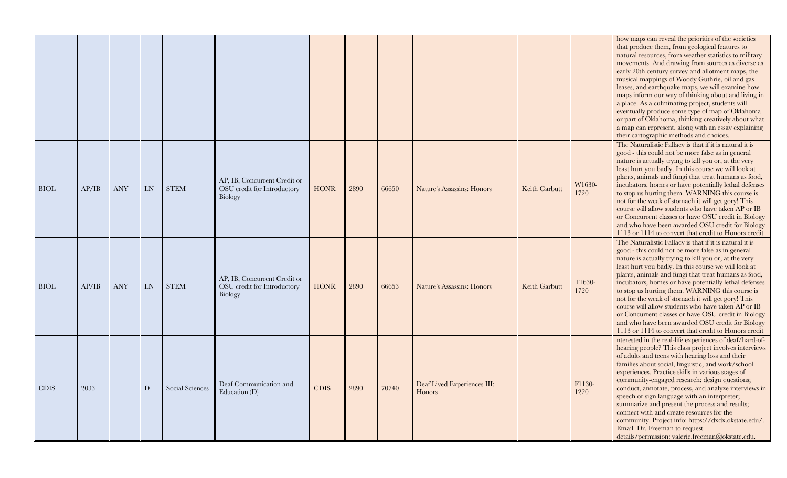|             |       |            |    |                 |                                                                        |             |      |       |                                       |               |                | how maps can reveal the priorities of the societies<br>that produce them, from geological features to<br>natural resources, from weather statistics to military<br>movements. And drawing from sources as diverse as<br>early 20th century survey and allotment maps, the<br>musical mappings of Woody Guthrie, oil and gas<br>leases, and earthquake maps, we will examine how<br>maps inform our way of thinking about and living in<br>a place. As a culminating project, students will<br>eventually produce some type of map of Oklahoma<br>or part of Oklahoma, thinking creatively about what<br>a map can represent, along with an essay explaining<br>their cartographic methods and choices. |
|-------------|-------|------------|----|-----------------|------------------------------------------------------------------------|-------------|------|-------|---------------------------------------|---------------|----------------|--------------------------------------------------------------------------------------------------------------------------------------------------------------------------------------------------------------------------------------------------------------------------------------------------------------------------------------------------------------------------------------------------------------------------------------------------------------------------------------------------------------------------------------------------------------------------------------------------------------------------------------------------------------------------------------------------------|
| <b>BIOL</b> | AP/IB | <b>ANY</b> | LN | <b>STEM</b>     | AP, IB, Concurrent Credit or<br>OSU credit for Introductory<br>Biology | <b>HONR</b> | 2890 | 66650 | Nature's Assassins: Honors            | Keith Garbutt | W1630-<br>1720 | The Naturalistic Fallacy is that if it is natural it is<br>good - this could not be more false as in general<br>nature is actually trying to kill you or, at the very<br>least hurt you badly. In this course we will look at<br>plants, animals and fungi that treat humans as food,<br>incubators, homes or have potentially lethal defenses<br>to stop us hurting them. WARNING this course is<br>not for the weak of stomach it will get gory! This<br>course will allow students who have taken AP or IB<br>or Concurrent classes or have OSU credit in Biology<br>and who have been awarded OSU credit for Biology<br>1113 or 1114 to convert that credit to Honors credit                       |
| <b>BIOL</b> | AP/IB | <b>ANY</b> | LN | <b>STEM</b>     | AP, IB, Concurrent Credit or<br>OSU credit for Introductory<br>Biology | <b>HONR</b> | 2890 | 66653 | Nature's Assassins: Honors            | Keith Garbutt | T1630-<br>1720 | The Naturalistic Fallacy is that if it is natural it is<br>good - this could not be more false as in general<br>nature is actually trying to kill you or, at the very<br>least hurt you badly. In this course we will look at<br>plants, animals and fungi that treat humans as food,<br>incubators, homes or have potentially lethal defenses<br>to stop us hurting them. WARNING this course is<br>not for the weak of stomach it will get gory! This<br>course will allow students who have taken AP or IB<br>or Concurrent classes or have OSU credit in Biology<br>and who have been awarded OSU credit for Biology<br>1113 or 1114 to convert that credit to Honors credit                       |
| <b>CDIS</b> | 2033  |            | D  | Social Sciences | Deaf Communication and<br>Education (D)                                | <b>CDIS</b> | 2890 | 70740 | Deaf Lived Experiences III:<br>Honors |               | F1130-<br>1220 | nterested in the real-life experiences of deaf/hard-of-<br>hearing people? This class project involves interviews<br>of adults and teens with hearing loss and their<br>families about social, linguistic, and work/school<br>experiences. Practice skills in various stages of<br>community-engaged research: design questions;<br>conduct, annotate, process, and analyze interviews in<br>speech or sign language with an interpreter;<br>summarize and present the process and results;<br>connect with and create resources for the<br>community. Project info: https://dxdx.okstate.edu/.<br>Email Dr. Freeman to request<br>details/permission: valerie.freeman@okstate.edu.                    |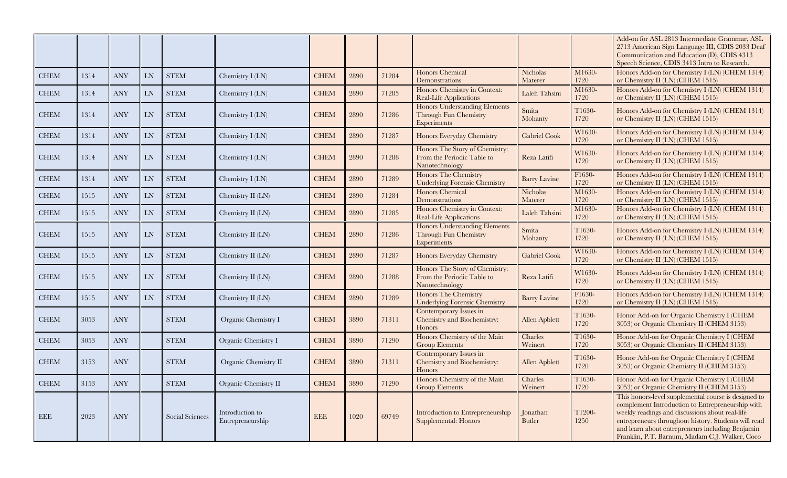|             |      |                                  |           |                 |                                     |             |      |       |                                                                                |                      |                | Add-on for ASL 2813 Intermediate Grammar, ASL<br>2713 American Sign Language III, CDIS 2033 Deaf<br>Communication and Education (D), CDIS 4313<br>Speech Science, CDIS 3413 Intro to Research.                                                                                                                            |
|-------------|------|----------------------------------|-----------|-----------------|-------------------------------------|-------------|------|-------|--------------------------------------------------------------------------------|----------------------|----------------|---------------------------------------------------------------------------------------------------------------------------------------------------------------------------------------------------------------------------------------------------------------------------------------------------------------------------|
| <b>CHEM</b> | 1314 | <b>ANY</b>                       | LN        | <b>STEM</b>     | Chemistry I (LN)                    | <b>CHEM</b> | 2890 | 71284 | Honors Chemical<br>Demonstrations                                              | Nicholas<br>Materer  | M1630-<br>1720 | Honors Add-on for Chemistry I (LN) (CHEM 1314)<br>or Chemistry II (LN) (CHEM 1515)                                                                                                                                                                                                                                        |
| <b>CHEM</b> | 1314 | <b>ANY</b>                       | LN        | <b>STEM</b>     | Chemistry $I(LN)$                   | <b>CHEM</b> | 2890 | 71285 | Honors Chemistry in Context:<br>Real-Life Applications                         | Laleh Tahsini        | M1630-<br>1720 | Honors Add-on for Chemistry I (LN) (CHEM 1314)<br>or Chemistry II (LN) (CHEM 1515)                                                                                                                                                                                                                                        |
| <b>CHEM</b> | 1314 | <b>ANY</b>                       | LN        | <b>STEM</b>     | Chemistry I (LN)                    | <b>CHEM</b> | 2890 | 71286 | <b>Honors Understanding Elements</b><br>Through Fun Chemistry<br>Experiments   | Smita<br>Mohanty     | T1630-<br>1720 | Honors Add-on for Chemistry I (LN) (CHEM 1314)<br>or Chemistry II (LN) (CHEM 1515)                                                                                                                                                                                                                                        |
| <b>CHEM</b> | 1314 | <b>ANY</b>                       | LN        | <b>STEM</b>     | Chemistry I (LN)                    | <b>CHEM</b> | 2890 | 71287 | Honors Everyday Chemistry                                                      | <b>Gabriel Cook</b>  | W1630-<br>1720 | Honors Add-on for Chemistry I (LN) (CHEM 1314)<br>or Chemistry II (LN) (CHEM 1515)                                                                                                                                                                                                                                        |
| <b>CHEM</b> | 1314 | <b>ANY</b>                       | LN        | <b>STEM</b>     | Chemistry $I$ $(LN)$                | <b>CHEM</b> | 2890 | 71288 | Honors The Story of Chemistry:<br>From the Periodic Table to<br>Nanotechnology | Reza Latifi          | W1630-<br>1720 | Honors Add-on for Chemistry I (LN) (CHEM 1314)<br>or Chemistry II (LN) (CHEM 1515)                                                                                                                                                                                                                                        |
| <b>CHEM</b> | 1314 | <b>ANY</b>                       | <b>LN</b> | <b>STEM</b>     | Chemistry I (LN)                    | <b>CHEM</b> | 2890 | 71289 | Honors The Chemistry<br><b>Underlying Forensic Chemistry</b>                   | <b>Barry Lavine</b>  | F1630-<br>1720 | Honors Add-on for Chemistry I (LN) (CHEM 1314)<br>or Chemistry II (LN) (CHEM 1515)                                                                                                                                                                                                                                        |
| <b>CHEM</b> | 1515 | $\operatorname{ANY}$             | LN        | <b>STEM</b>     | Chemistry II (LN)                   | <b>CHEM</b> | 2890 | 71284 | Honors Chemical<br>Demonstrations                                              | Nicholas<br>Materer  | M1630-<br>1720 | Honors Add-on for Chemistry I (LN) (CHEM 1314)<br>or Chemistry II (LN) (CHEM 1515)                                                                                                                                                                                                                                        |
| <b>CHEM</b> | 1515 | $\operatorname{ANY}$             | LN        | <b>STEM</b>     | Chemistry II (LN)                   | <b>CHEM</b> | 2890 | 71285 | Honors Chemistry in Context:<br><b>Real-Life Applications</b>                  | Laleh Tahsini        | M1630-<br>1720 | Honors Add-on for Chemistry I (LN) (CHEM 1314)<br>or Chemistry II (LN) (CHEM 1515)                                                                                                                                                                                                                                        |
| <b>CHEM</b> | 1515 | <b>ANY</b>                       | LN        | <b>STEM</b>     | Chemistry II (LN)                   | <b>CHEM</b> | 2890 | 71286 | Honors Understanding Elements<br>Through Fun Chemistry<br>Experiments          | Smita<br>Mohanty     | T1630-<br>1720 | Honors Add-on for Chemistry I (LN) (CHEM 1314)<br>or Chemistry II (LN) (CHEM 1515)                                                                                                                                                                                                                                        |
| <b>CHEM</b> | 1515 | <b>ANY</b>                       | LN        | <b>STEM</b>     | Chemistry II (LN)                   | <b>CHEM</b> | 2890 | 71287 | Honors Everyday Chemistry                                                      | <b>Gabriel Cook</b>  | W1630-<br>1720 | Honors Add-on for Chemistry I (LN) (CHEM 1314)<br>or Chemistry II (LN) (CHEM 1515)                                                                                                                                                                                                                                        |
| <b>CHEM</b> | 1515 | <b>ANY</b>                       | LN        | <b>STEM</b>     | Chemistry II (LN)                   | <b>CHEM</b> | 2890 | 71288 | Honors The Story of Chemistry:<br>From the Periodic Table to<br>Nanotechnology | Reza Latifi          | W1630-<br>1720 | Honors Add-on for Chemistry I (LN) (CHEM 1314)<br>or Chemistry II (LN) (CHEM 1515)                                                                                                                                                                                                                                        |
| <b>CHEM</b> | 1515 | <b>ANY</b>                       | LN        | <b>STEM</b>     | Chemistry II (LN)                   | <b>CHEM</b> | 2890 | 71289 | <b>Honors The Chemistry</b><br><b>Underlying Forensic Chemistry</b>            | <b>Barry Lavine</b>  | F1630-<br>1720 | Honors Add-on for Chemistry I (LN) (CHEM 1314)<br>or Chemistry II (LN) (CHEM 1515)                                                                                                                                                                                                                                        |
| <b>CHEM</b> | 3053 | <b>ANY</b>                       |           | <b>STEM</b>     | Organic Chemistry I                 | <b>CHEM</b> | 3890 | 71311 | Contemporary Issues in<br>Chemistry and Biochemistry:<br>Honors                | <b>Allen Apblett</b> | T1630-<br>1720 | Honor Add-on for Organic Chemistry I (CHEM<br>3053) or Organic Chemistry II (CHEM 3153)                                                                                                                                                                                                                                   |
| <b>CHEM</b> | 3053 | <b>ANY</b>                       |           | <b>STEM</b>     | Organic Chemistry I                 | <b>CHEM</b> | 3890 | 71290 | Honors Chemistry of the Main<br><b>Group Elements</b>                          | Charles<br>Weinert   | T1630-<br>1720 | Honor Add-on for Organic Chemistry I (CHEM<br>3053) or Organic Chemistry II (CHEM 3153)                                                                                                                                                                                                                                   |
| <b>CHEM</b> | 3153 | <b>ANY</b>                       |           | <b>STEM</b>     | Organic Chemistry II                | <b>CHEM</b> | 3890 | 71311 | Contemporary Issues in<br>Chemistry and Biochemistry:<br>Honors                | <b>Allen Apblett</b> | T1630-<br>1720 | Honor Add-on for Organic Chemistry I (CHEM<br>3053) or Organic Chemistry II (CHEM 3153)                                                                                                                                                                                                                                   |
| <b>CHEM</b> | 3153 | $\mathbf{A}\mathbf{N}\mathbf{Y}$ |           | <b>STEM</b>     | Organic Chemistry II                | <b>CHEM</b> | 3890 | 71290 | Honors Chemistry of the Main<br><b>Group Elements</b>                          | Charles<br>Weinert   | T1630-<br>1720 | Honor Add-on for Organic Chemistry I (CHEM<br>3053) or Organic Chemistry II (CHEM 3153)                                                                                                                                                                                                                                   |
| EEE         | 2023 | ANY                              |           | Social Sciences | Introduction to<br>Entrepreneurship | EEE         | 1020 | 69749 | Introduction to Entrepreneurship<br><b>Supplemental: Honors</b>                | Jonathan<br>Butler   | T1200-<br>1250 | This honors-level supplemental course is designed to<br>complement Introduction to Entrepreneurship with<br>weekly readings and discussions about real-life<br>entrepreneurs throughout history. Students will read<br>and learn about entrepreneurs including Benjamin<br>Franklin, P.T. Barnum, Madam C.J. Walker, Coco |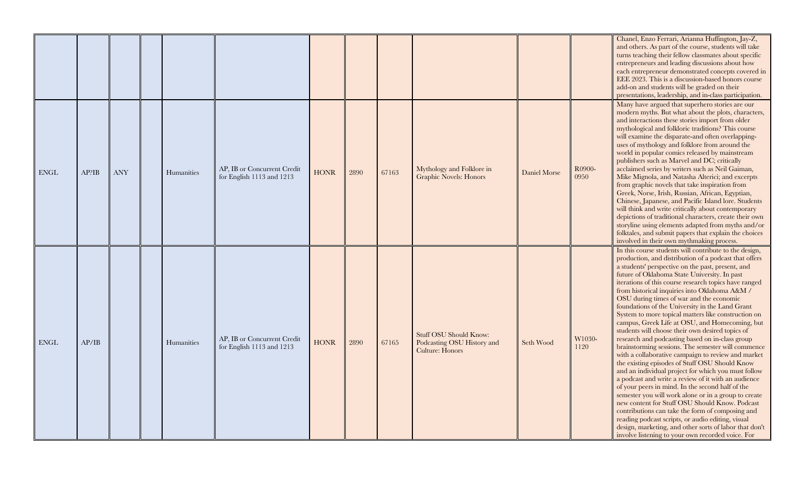|              |       |            |            |                                                          |             |      |       |                                                                                |              |                | Chanel, Enzo Ferrari, Arianna Huffington, Jay-Z,<br>and others. As part of the course, students will take<br>turns teaching their fellow classmates about specific<br>entrepreneurs and leading discussions about how<br>each entrepreneur demonstrated concepts covered in<br>EEE 2023. This is a discussion-based honors course<br>add-on and students will be graded on their<br>presentations, leadership, and in-class participation.                                                                                                                                                                                                                                                                                                                                                                                                                                                                                                                                                                                                                                                                                                                                                                                                                                                                      |
|--------------|-------|------------|------------|----------------------------------------------------------|-------------|------|-------|--------------------------------------------------------------------------------|--------------|----------------|-----------------------------------------------------------------------------------------------------------------------------------------------------------------------------------------------------------------------------------------------------------------------------------------------------------------------------------------------------------------------------------------------------------------------------------------------------------------------------------------------------------------------------------------------------------------------------------------------------------------------------------------------------------------------------------------------------------------------------------------------------------------------------------------------------------------------------------------------------------------------------------------------------------------------------------------------------------------------------------------------------------------------------------------------------------------------------------------------------------------------------------------------------------------------------------------------------------------------------------------------------------------------------------------------------------------|
| ${\rm ENGL}$ | AP?IB | <b>ANY</b> | Humanities | AP, IB or Concurrent Credit<br>for English 1113 and 1213 | <b>HONR</b> | 2890 | 67163 | Mythology and Folklore in<br><b>Graphic Novels: Honors</b>                     | Daniel Morse | R0900-<br>0950 | Many have argued that superhero stories are our<br>modern myths. But what about the plots, characters,<br>and interactions these stories import from older<br>mythological and folkloric traditions? This course<br>will examine the disparate-and often overlapping-<br>uses of mythology and folklore from around the<br>world in popular comics released by mainstream<br>publishers such as Marvel and DC; critically<br>acclaimed series by writers such as Neil Gaiman,<br>Mike Mignola, and Natasha Alterici; and excerpts<br>from graphic novels that take inspiration from<br>Greek, Norse, Irish, Russian, African, Egyptian,<br>Chinese, Japanese, and Pacific Island lore. Students<br>will think and write critically about contemporary<br>depictions of traditional characters, create their own<br>storyline using elements adapted from myths and/or<br>folktales, and submit papers that explain the choices<br>involved in their own mythmaking process.                                                                                                                                                                                                                                                                                                                                     |
| ENGL         | AP/IB |            | Humanities | AP, IB or Concurrent Credit<br>for English 1113 and 1213 | <b>HONR</b> | 2890 | 67165 | <b>Stuff OSU Should Know:</b><br>Podcasting OSU History and<br>Culture: Honors | Seth Wood    | W1030-<br>1120 | In this course students will contribute to the design,<br>production, and distribution of a podcast that offers<br>a students' perspective on the past, present, and<br>future of Oklahoma State University. In past<br>iterations of this course research topics have ranged<br>from historical inquiries into Oklahoma A&M /<br>OSU during times of war and the economic<br>foundations of the University in the Land Grant<br>System to more topical matters like construction on<br>campus, Greek Life at OSU, and Homecoming, but<br>students will choose their own desired topics of<br>research and podcasting based on in-class group<br>brainstorming sessions. The semester will commence<br>with a collaborative campaign to review and market<br>the existing episodes of Stuff OSU Should Know<br>and an individual project for which you must follow<br>a podcast and write a review of it with an audience<br>of your peers in mind. In the second half of the<br>semester you will work alone or in a group to create<br>new content for Stuff OSU Should Know. Podcast<br>contributions can take the form of composing and<br>reading podcast scripts, or audio editing, visual<br>design, marketing, and other sorts of labor that don't<br>involve listening to your own recorded voice. For |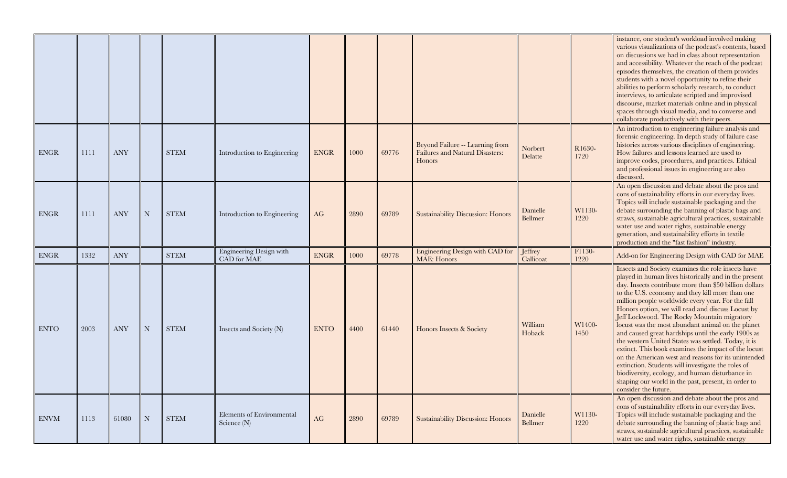|             |      |            |             |             |                                               |             |      |       |                                                                                            |                            |                | instance, one student's workload involved making<br>various visualizations of the podcast's contents, based<br>on discussions we had in class about representation<br>and accessibility. Whatever the reach of the podcast<br>episodes themselves, the creation of them provides<br>students with a novel opportunity to refine their<br>abilities to perform scholarly research, to conduct<br>interviews, to articulate scripted and improvised<br>discourse, market materials online and in physical<br>spaces through visual media, and to converse and<br>collaborate productively with their peers.                                                                                                                                                                                                                                                   |
|-------------|------|------------|-------------|-------------|-----------------------------------------------|-------------|------|-------|--------------------------------------------------------------------------------------------|----------------------------|----------------|-------------------------------------------------------------------------------------------------------------------------------------------------------------------------------------------------------------------------------------------------------------------------------------------------------------------------------------------------------------------------------------------------------------------------------------------------------------------------------------------------------------------------------------------------------------------------------------------------------------------------------------------------------------------------------------------------------------------------------------------------------------------------------------------------------------------------------------------------------------|
| <b>ENGR</b> | 1111 | <b>ANY</b> |             | <b>STEM</b> | Introduction to Engineering                   | <b>ENGR</b> | 1000 | 69776 | Beyond Failure -- Learning from<br><b>Failures and Natural Disasters:</b><br><b>Honors</b> | Norbert<br>Delatte         | R1630-<br>1720 | An introduction to engineering failure analysis and<br>forensic engineering. In depth study of failure case<br>histories across various disciplines of engineering.<br>How failures and lessons learned are used to<br>improve codes, procedures, and practices. Ethical<br>and professional issues in engineering are also<br>discussed.                                                                                                                                                                                                                                                                                                                                                                                                                                                                                                                   |
| <b>ENGR</b> | 1111 | <b>ANY</b> | $\mathbf N$ | <b>STEM</b> | Introduction to Engineering                   | AG          | 2890 | 69789 | <b>Sustainability Discussion: Honors</b>                                                   | Danielle<br>Bellmer        | W1130-<br>1220 | An open discussion and debate about the pros and<br>cons of sustainability efforts in our everyday lives.<br>Topics will include sustainable packaging and the<br>debate surrounding the banning of plastic bags and<br>straws, sustainable agricultural practices, sustainable<br>water use and water rights, sustainable energy<br>generation, and sustainability efforts in textile<br>production and the "fast fashion" industry.                                                                                                                                                                                                                                                                                                                                                                                                                       |
| <b>ENGR</b> | 1332 | <b>ANY</b> |             | <b>STEM</b> | <b>Engineering Design with</b><br>CAD for MAE | <b>ENGR</b> | 1000 | 69778 | Engineering Design with CAD for<br><b>MAE</b> : Honors                                     | Jeffrey<br>Callicoat       | F1130-<br>1220 | Add-on for Engineering Design with CAD for MAE                                                                                                                                                                                                                                                                                                                                                                                                                                                                                                                                                                                                                                                                                                                                                                                                              |
| <b>ENTO</b> | 2003 | <b>ANY</b> | N           | <b>STEM</b> | Insects and Society (N)                       | <b>ENTO</b> | 4400 | 61440 | Honors Insects & Society                                                                   | William<br>Hoback          | W1400-<br>1450 | Insects and Society examines the role insects have<br>played in human lives historically and in the present<br>day. Insects contribute more than \$50 billion dollars<br>to the U.S. economy and they kill more than one<br>million people worldwide every year. For the fall<br>Honors option, we will read and discuss Locust by<br>Jeff Lockwood. The Rocky Mountain migratory<br>locust was the most abundant animal on the planet<br>and caused great hardships until the early 1900s as<br>the western United States was settled. Today, it is<br>extinct. This book examines the impact of the locust<br>on the American west and reasons for its unintended<br>extinction. Students will investigate the roles of<br>biodiversity, ecology, and human disturbance in<br>shaping our world in the past, present, in order to<br>consider the future. |
| <b>ENVM</b> | 1113 | 61080      | $\mathbf N$ | <b>STEM</b> | Elements of Environmental<br>Science (N)      | AG          | 2890 | 69789 | <b>Sustainability Discussion: Honors</b>                                                   | Danielle<br><b>Bellmer</b> | W1130-<br>1220 | An open discussion and debate about the pros and<br>cons of sustainability efforts in our everyday lives.<br>Topics will include sustainable packaging and the<br>debate surrounding the banning of plastic bags and<br>straws, sustainable agricultural practices, sustainable<br>water use and water rights, sustainable energy                                                                                                                                                                                                                                                                                                                                                                                                                                                                                                                           |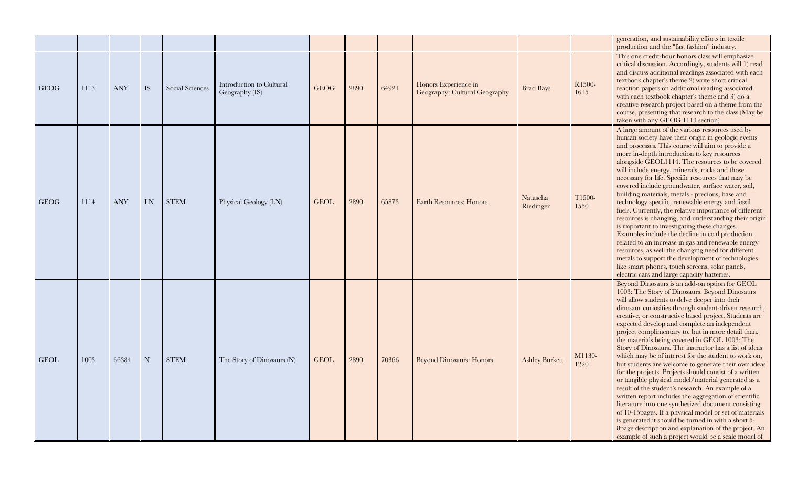|             |      |            |           |                 |                                            |             |      |       |                                                       |                       |                | generation, and sustainability efforts in textile<br>production and the "fast fashion" industry.                                                                                                                                                                                                                                                                                                                                                                                                                                                                                                                                                                                                                                                                                                                                                                                                                                                                                                                                                                                                                           |
|-------------|------|------------|-----------|-----------------|--------------------------------------------|-------------|------|-------|-------------------------------------------------------|-----------------------|----------------|----------------------------------------------------------------------------------------------------------------------------------------------------------------------------------------------------------------------------------------------------------------------------------------------------------------------------------------------------------------------------------------------------------------------------------------------------------------------------------------------------------------------------------------------------------------------------------------------------------------------------------------------------------------------------------------------------------------------------------------------------------------------------------------------------------------------------------------------------------------------------------------------------------------------------------------------------------------------------------------------------------------------------------------------------------------------------------------------------------------------------|
| <b>GEOG</b> | 1113 | <b>ANY</b> | IS        | Social Sciences | Introduction to Cultural<br>Geography (IS) | <b>GEOG</b> | 2890 | 64921 | Honors Experience in<br>Geography: Cultural Geography | <b>Brad Bays</b>      | R1500-<br>1615 | This one credit-hour honors class will emphasize<br>critical discussion. Accordingly, students will 1) read<br>and discuss additional readings associated with each<br>textbook chapter's theme 2) write short critical<br>reaction papers on additional reading associated<br>with each textbook chapter's theme and 3) do a<br>creative research project based on a theme from the<br>course, presenting that research to the class. (May be<br>taken with any GEOG 1113 section)                                                                                                                                                                                                                                                                                                                                                                                                                                                                                                                                                                                                                                        |
| GEOG        | 1114 | <b>ANY</b> | LN        | <b>STEM</b>     | Physical Geology (LN)                      | <b>GEOL</b> | 2890 | 65873 | <b>Earth Resources: Honors</b>                        | Natascha<br>Riedinger | T1500-<br>1550 | A large amount of the various resources used by<br>human society have their origin in geologic events<br>and processes. This course will aim to provide a<br>more in-depth introduction to key resources<br>alongside GEOL1114. The resources to be covered<br>will include energy, minerals, rocks and those<br>necessary for life. Specific resources that may be<br>covered include groundwater, surface water, soil,<br>building materials, metals - precious, base and<br>technology specific, renewable energy and fossil<br>fuels. Currently, the relative importance of different<br>resources is changing, and understanding their origin<br>is important to investigating these changes.<br>Examples include the decline in coal production<br>related to an increase in gas and renewable energy<br>resources, as well the changing need for different<br>metals to support the development of technologies<br>like smart phones, touch screens, solar panels,<br>electric cars and large capacity batteries.                                                                                                   |
| <b>GEOL</b> | 1003 | 66384      | ${\rm N}$ | <b>STEM</b>     | The Story of Dinosaurs (N)                 | <b>GEOL</b> | 2890 | 70366 | <b>Beyond Dinosaurs: Honors</b>                       | <b>Ashley Burkett</b> | M1130-<br>1220 | Beyond Dinosaurs is an add-on option for GEOL<br>1003: The Story of Dinosaurs. Beyond Dinosaurs<br>will allow students to delve deeper into their<br>dinosaur curiosities through student-driven research,<br>creative, or constructive based project. Students are<br>expected develop and complete an independent<br>project complimentary to, but in more detail than,<br>the materials being covered in GEOL 1003: The<br>Story of Dinosaurs. The instructor has a list of ideas<br>which may be of interest for the student to work on,<br>but students are welcome to generate their own ideas<br>for the projects. Projects should consist of a written<br>or tangible physical model/material generated as a<br>result of the student's research. An example of a<br>written report includes the aggregation of scientific<br>literature into one synthesized document consisting<br>of 10-15 pages. If a physical model or set of materials<br>is generated it should be turned in with a short 5-<br>8page description and explanation of the project. An<br>example of such a project would be a scale model of |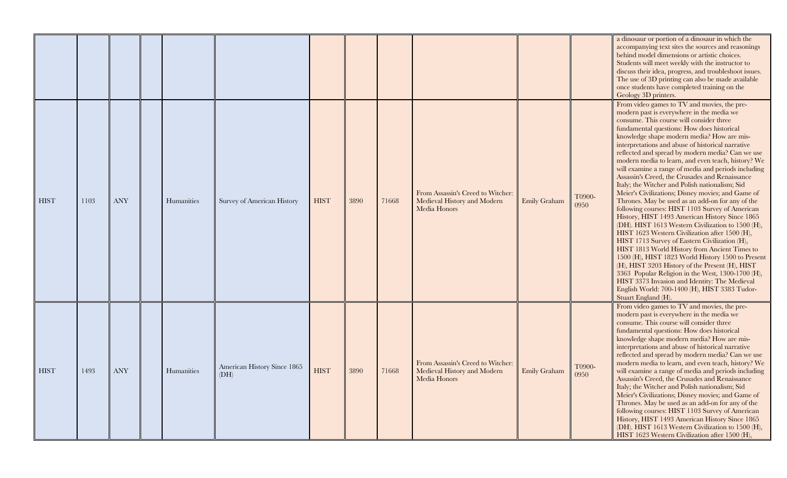|             |      |            |            |                                     |             |      |       |                                                                                  |              |                | a dinosaur or portion of a dinosaur in which the<br>accompanying text sites the sources and reasonings<br>behind model dimensions or artistic choices.<br>Students will meet weekly with the instructor to<br>discuss their idea, progress, and troubleshoot issues.<br>The use of 3D printing can also be made available<br>once students have completed training on the<br>Geology 3D printers.                                                                                                                                                                                                                                                                                                                                                                                                                                                                                                                                                                                                                                                                                                                                                                                                                                                                       |
|-------------|------|------------|------------|-------------------------------------|-------------|------|-------|----------------------------------------------------------------------------------|--------------|----------------|-------------------------------------------------------------------------------------------------------------------------------------------------------------------------------------------------------------------------------------------------------------------------------------------------------------------------------------------------------------------------------------------------------------------------------------------------------------------------------------------------------------------------------------------------------------------------------------------------------------------------------------------------------------------------------------------------------------------------------------------------------------------------------------------------------------------------------------------------------------------------------------------------------------------------------------------------------------------------------------------------------------------------------------------------------------------------------------------------------------------------------------------------------------------------------------------------------------------------------------------------------------------------|
| <b>HIST</b> | 1103 | <b>ANY</b> | Humanities | Survey of American History          | <b>HIST</b> | 3890 | 71668 | From Assassin's Creed to Witcher:<br>Medieval History and Modern<br>Media Honors | Emily Graham | T0900-<br>0950 | From video games to TV and movies, the pre-<br>modern past is everywhere in the media we<br>consume. This course will consider three<br>fundamental questions: How does historical<br>knowledge shape modern media? How are mis-<br>interpretations and abuse of historical narrative<br>reflected and spread by modern media? Can we use<br>modern media to learn, and even teach, history? We<br>will examine a range of media and periods including<br>Assassin's Creed, the Crusades and Renaissance<br>Italy; the Witcher and Polish nationalism; Sid<br>Meier's Civilizations; Disney movies; and Game of<br>Thrones. May be used as an add-on for any of the<br>following courses: HIST 1103 Survey of American<br>History, HIST 1493 American History Since 1865<br>(DH). HIST 1613 Western Civilization to 1500 (H),<br>HIST 1623 Western Civilization after 1500 (H),<br>HIST 1713 Survey of Eastern Civilization (H),<br>HIST 1813 World History from Ancient Times to<br>1500 (H), HIST 1823 World History 1500 to Present<br>(H), HIST 3203 History of the Present (H), HIST<br>3363 Popular Religion in the West, 1300-1700 (H),<br>HIST 3373 Invasion and Identity: The Medieval<br>English World: 700-1400 (H), HIST 3383 Tudor-<br>Stuart England (H). |
| <b>HIST</b> | 1493 | <b>ANY</b> | Humanities | American History Since 1865<br>(DH) | <b>HIST</b> | 3890 | 71668 | From Assassin's Creed to Witcher:<br>Medieval History and Modern<br>Media Honors | Emily Graham | T0900-<br>0950 | From video games to TV and movies, the pre-<br>modern past is everywhere in the media we<br>consume. This course will consider three<br>fundamental questions: How does historical<br>knowledge shape modern media? How are mis-<br>interpretations and abuse of historical narrative<br>reflected and spread by modern media? Can we use<br>modern media to learn, and even teach, history? We<br>will examine a range of media and periods including<br>Assassin's Creed, the Crusades and Renaissance<br>Italy; the Witcher and Polish nationalism; Sid<br>Meier's Civilizations; Disney movies; and Game of<br>Thrones. May be used as an add-on for any of the<br>following courses: HIST 1103 Survey of American<br>History, HIST 1493 American History Since 1865<br>(DH). HIST 1613 Western Civilization to 1500 (H),<br>HIST 1623 Western Civilization after 1500 (H),                                                                                                                                                                                                                                                                                                                                                                                         |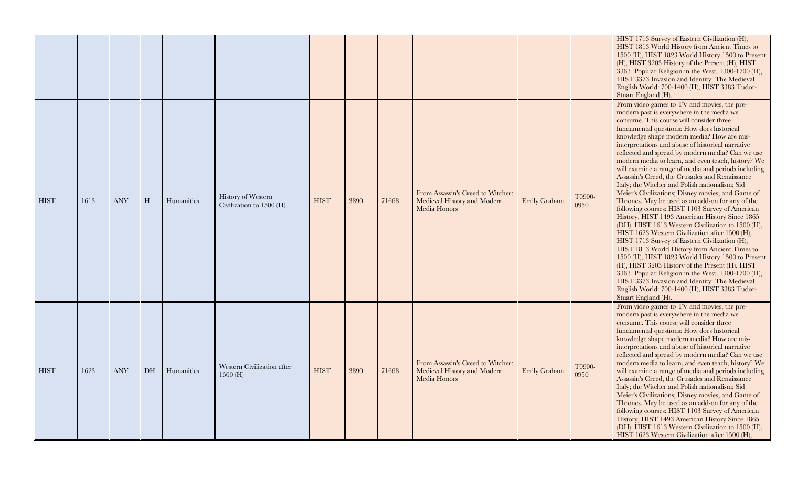|             |      |            |           |            |                                                |             |      |       |                                                                                  |              |                | HIST 1713 Survey of Eastern Civilization (H),<br>HIST 1813 World History from Ancient Times to<br>1500 (H), HIST 1823 World History 1500 to Present<br>(H), HIST 3203 History of the Present (H), HIST<br>3363 Popular Religion in the West, 1300-1700 (H),<br>HIST 3373 Invasion and Identity: The Medieval<br>English World: 700-1400 (H), HIST 3383 Tudor-<br>Stuart England (H).                                                                                                                                                                                                                                                                                                                                                                                                                                                                                                                                                                                                                                                                                                                                                                                                                                                                                    |
|-------------|------|------------|-----------|------------|------------------------------------------------|-------------|------|-------|----------------------------------------------------------------------------------|--------------|----------------|-------------------------------------------------------------------------------------------------------------------------------------------------------------------------------------------------------------------------------------------------------------------------------------------------------------------------------------------------------------------------------------------------------------------------------------------------------------------------------------------------------------------------------------------------------------------------------------------------------------------------------------------------------------------------------------------------------------------------------------------------------------------------------------------------------------------------------------------------------------------------------------------------------------------------------------------------------------------------------------------------------------------------------------------------------------------------------------------------------------------------------------------------------------------------------------------------------------------------------------------------------------------------|
| <b>HIST</b> | 1613 | <b>ANY</b> | H         | Humanities | History of Western<br>Civilization to 1500 (H) | <b>HIST</b> | 3890 | 71668 | From Assassin's Creed to Witcher:<br>Medieval History and Modern<br>Media Honors | Emily Graham | T0900-<br>0950 | From video games to TV and movies, the pre-<br>modern past is everywhere in the media we<br>consume. This course will consider three<br>fundamental questions: How does historical<br>knowledge shape modern media? How are mis-<br>interpretations and abuse of historical narrative<br>reflected and spread by modern media? Can we use<br>modern media to learn, and even teach, history? We<br>will examine a range of media and periods including<br>Assassin's Creed, the Crusades and Renaissance<br>Italy; the Witcher and Polish nationalism; Sid<br>Meier's Civilizations; Disney movies; and Game of<br>Thrones. May be used as an add-on for any of the<br>following courses: HIST 1103 Survey of American<br>History, HIST 1493 American History Since 1865<br>(DH). HIST 1613 Western Civilization to 1500 (H),<br>HIST 1623 Western Civilization after 1500 (H),<br>HIST 1713 Survey of Eastern Civilization (H),<br>HIST 1813 World History from Ancient Times to<br>1500 (H), HIST 1823 World History 1500 to Present<br>(H), HIST 3203 History of the Present (H), HIST<br>3363 Popular Religion in the West, 1300-1700 (H),<br>HIST 3373 Invasion and Identity: The Medieval<br>English World: 700-1400 (H), HIST 3383 Tudor-<br>Stuart England (H). |
| <b>HIST</b> | 1623 | <b>ANY</b> | <b>DH</b> | Humanities | Western Civilization after<br>1500(H)          | <b>HIST</b> | 3890 | 71668 | From Assassin's Creed to Witcher:<br>Medieval History and Modern<br>Media Honors | Emily Graham | T0900-<br>0950 | From video games to TV and movies, the pre-<br>modern past is everywhere in the media we<br>consume. This course will consider three<br>fundamental questions: How does historical<br>knowledge shape modern media? How are mis-<br>interpretations and abuse of historical narrative<br>reflected and spread by modern media? Can we use<br>modern media to learn, and even teach, history? We<br>will examine a range of media and periods including<br>Assassin's Creed, the Crusades and Renaissance<br>Italy; the Witcher and Polish nationalism; Sid<br>Meier's Civilizations; Disney movies; and Game of<br>Thrones. May be used as an add-on for any of the<br>following courses: HIST 1103 Survey of American<br>History, HIST 1493 American History Since 1865<br>(DH). HIST 1613 Western Civilization to 1500 (H),<br>HIST 1623 Western Civilization after 1500 (H),                                                                                                                                                                                                                                                                                                                                                                                         |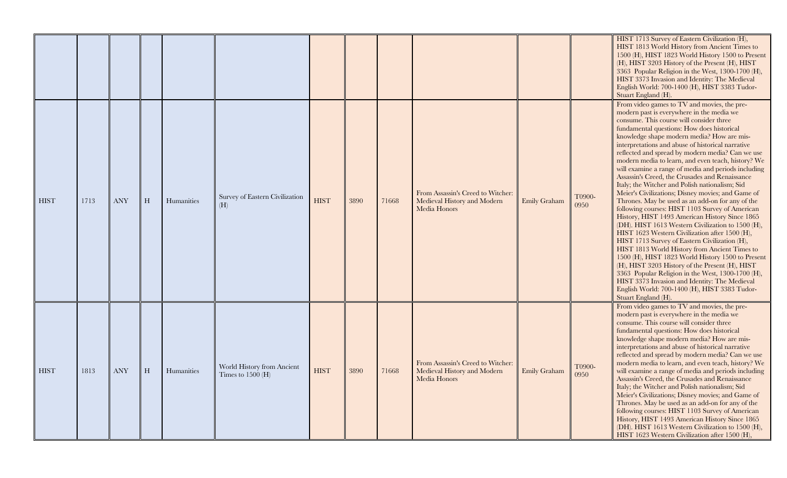|             |      |            |   |            |                                                   |             |      |       |                                                                                  |              |                | HIST 1713 Survey of Eastern Civilization (H),<br>HIST 1813 World History from Ancient Times to<br>1500 (H), HIST 1823 World History 1500 to Present<br>(H), HIST 3203 History of the Present (H), HIST<br>3363 Popular Religion in the West, 1300-1700 (H),<br>HIST 3373 Invasion and Identity: The Medieval<br>English World: 700-1400 (H), HIST 3383 Tudor-<br>Stuart England (H).                                                                                                                                                                                                                                                                                                                                                                                                                                                                                                                                                                                                                                                                                                                                                                                                                                                                                    |
|-------------|------|------------|---|------------|---------------------------------------------------|-------------|------|-------|----------------------------------------------------------------------------------|--------------|----------------|-------------------------------------------------------------------------------------------------------------------------------------------------------------------------------------------------------------------------------------------------------------------------------------------------------------------------------------------------------------------------------------------------------------------------------------------------------------------------------------------------------------------------------------------------------------------------------------------------------------------------------------------------------------------------------------------------------------------------------------------------------------------------------------------------------------------------------------------------------------------------------------------------------------------------------------------------------------------------------------------------------------------------------------------------------------------------------------------------------------------------------------------------------------------------------------------------------------------------------------------------------------------------|
| <b>HIST</b> | 1713 | <b>ANY</b> | H | Humanities | Survey of Eastern Civilization<br>(H)             | <b>HIST</b> | 3890 | 71668 | From Assassin's Creed to Witcher:<br>Medieval History and Modern<br>Media Honors | Emily Graham | T0900-<br>0950 | From video games to TV and movies, the pre-<br>modern past is everywhere in the media we<br>consume. This course will consider three<br>fundamental questions: How does historical<br>knowledge shape modern media? How are mis-<br>interpretations and abuse of historical narrative<br>reflected and spread by modern media? Can we use<br>modern media to learn, and even teach, history? We<br>will examine a range of media and periods including<br>Assassin's Creed, the Crusades and Renaissance<br>Italy; the Witcher and Polish nationalism; Sid<br>Meier's Civilizations; Disney movies; and Game of<br>Thrones. May be used as an add-on for any of the<br>following courses: HIST 1103 Survey of American<br>History, HIST 1493 American History Since 1865<br>(DH). HIST 1613 Western Civilization to 1500 (H),<br>HIST 1623 Western Civilization after 1500 (H),<br>HIST 1713 Survey of Eastern Civilization (H),<br>HIST 1813 World History from Ancient Times to<br>1500 (H), HIST 1823 World History 1500 to Present<br>(H), HIST 3203 History of the Present (H), HIST<br>3363 Popular Religion in the West, 1300-1700 (H),<br>HIST 3373 Invasion and Identity: The Medieval<br>English World: 700-1400 (H), HIST 3383 Tudor-<br>Stuart England (H). |
| <b>HIST</b> | 1813 | <b>ANY</b> | H | Humanities | World History from Ancient<br>Times to $1500$ (H) | <b>HIST</b> | 3890 | 71668 | From Assassin's Creed to Witcher:<br>Medieval History and Modern<br>Media Honors | Emily Graham | T0900-<br>0950 | From video games to TV and movies, the pre-<br>modern past is everywhere in the media we<br>consume. This course will consider three<br>fundamental questions: How does historical<br>knowledge shape modern media? How are mis-<br>interpretations and abuse of historical narrative<br>reflected and spread by modern media? Can we use<br>modern media to learn, and even teach, history? We<br>will examine a range of media and periods including<br>Assassin's Creed, the Crusades and Renaissance<br>Italy; the Witcher and Polish nationalism; Sid<br>Meier's Civilizations; Disney movies; and Game of<br>Thrones. May be used as an add-on for any of the<br>following courses: HIST 1103 Survey of American<br>History, HIST 1493 American History Since 1865<br>(DH). HIST 1613 Western Civilization to 1500 (H),<br>HIST 1623 Western Civilization after 1500 (H),                                                                                                                                                                                                                                                                                                                                                                                         |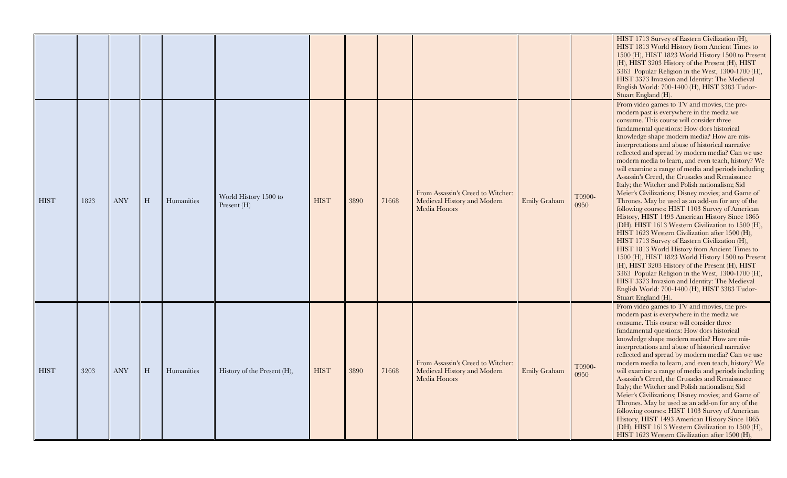|             |      |            |   |            |                                      |             |      |       |                                                                                  |              |                | HIST 1713 Survey of Eastern Civilization (H),<br>HIST 1813 World History from Ancient Times to<br>1500 (H), HIST 1823 World History 1500 to Present<br>(H), HIST 3203 History of the Present (H), HIST<br>3363 Popular Religion in the West, 1300-1700 (H),<br>HIST 3373 Invasion and Identity: The Medieval<br>English World: 700-1400 (H), HIST 3383 Tudor-<br>Stuart England (H).                                                                                                                                                                                                                                                                                                                                                                                                                                                                                                                                                                                                                                                                                                                                                                                                                                                                                    |
|-------------|------|------------|---|------------|--------------------------------------|-------------|------|-------|----------------------------------------------------------------------------------|--------------|----------------|-------------------------------------------------------------------------------------------------------------------------------------------------------------------------------------------------------------------------------------------------------------------------------------------------------------------------------------------------------------------------------------------------------------------------------------------------------------------------------------------------------------------------------------------------------------------------------------------------------------------------------------------------------------------------------------------------------------------------------------------------------------------------------------------------------------------------------------------------------------------------------------------------------------------------------------------------------------------------------------------------------------------------------------------------------------------------------------------------------------------------------------------------------------------------------------------------------------------------------------------------------------------------|
| <b>HIST</b> | 1823 | <b>ANY</b> | H | Humanities | World History 1500 to<br>Present (H) | <b>HIST</b> | 3890 | 71668 | From Assassin's Creed to Witcher:<br>Medieval History and Modern<br>Media Honors | Emily Graham | T0900-<br>0950 | From video games to TV and movies, the pre-<br>modern past is everywhere in the media we<br>consume. This course will consider three<br>fundamental questions: How does historical<br>knowledge shape modern media? How are mis-<br>interpretations and abuse of historical narrative<br>reflected and spread by modern media? Can we use<br>modern media to learn, and even teach, history? We<br>will examine a range of media and periods including<br>Assassin's Creed, the Crusades and Renaissance<br>Italy; the Witcher and Polish nationalism; Sid<br>Meier's Civilizations; Disney movies; and Game of<br>Thrones. May be used as an add-on for any of the<br>following courses: HIST 1103 Survey of American<br>History, HIST 1493 American History Since 1865<br>(DH). HIST 1613 Western Civilization to 1500 (H),<br>HIST 1623 Western Civilization after 1500 (H),<br>HIST 1713 Survey of Eastern Civilization (H),<br>HIST 1813 World History from Ancient Times to<br>1500 (H), HIST 1823 World History 1500 to Present<br>(H), HIST 3203 History of the Present (H), HIST<br>3363 Popular Religion in the West, 1300-1700 (H),<br>HIST 3373 Invasion and Identity: The Medieval<br>English World: 700-1400 (H), HIST 3383 Tudor-<br>Stuart England (H). |
| <b>HIST</b> | 3203 | <b>ANY</b> | H | Humanities | History of the Present (H),          | <b>HIST</b> | 3890 | 71668 | From Assassin's Creed to Witcher:<br>Medieval History and Modern<br>Media Honors | Emily Graham | T0900-<br>0950 | From video games to TV and movies, the pre-<br>modern past is everywhere in the media we<br>consume. This course will consider three<br>fundamental questions: How does historical<br>knowledge shape modern media? How are mis-<br>interpretations and abuse of historical narrative<br>reflected and spread by modern media? Can we use<br>modern media to learn, and even teach, history? We<br>will examine a range of media and periods including<br>Assassin's Creed, the Crusades and Renaissance<br>Italy; the Witcher and Polish nationalism; Sid<br>Meier's Civilizations; Disney movies; and Game of<br>Thrones. May be used as an add-on for any of the<br>following courses: HIST 1103 Survey of American<br>History, HIST 1493 American History Since 1865<br>(DH). HIST 1613 Western Civilization to 1500 (H),<br>HIST 1623 Western Civilization after 1500 (H),                                                                                                                                                                                                                                                                                                                                                                                         |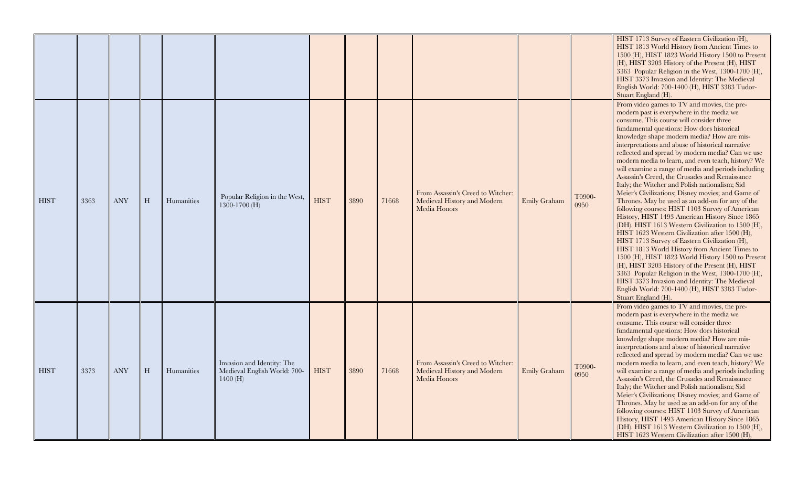|             |      |            |   |            |                                                                       |             |      |       |                                                                                  |                     |                | HIST 1713 Survey of Eastern Civilization (H),<br>HIST 1813 World History from Ancient Times to<br>1500 (H), HIST 1823 World History 1500 to Present<br>(H), HIST 3203 History of the Present (H), HIST<br>3363 Popular Religion in the West, 1300-1700 (H),<br>HIST 3373 Invasion and Identity: The Medieval<br>English World: 700-1400 (H), HIST 3383 Tudor-<br>Stuart England (H).                                                                                                                                                                                                                                                                                                                                                                                                                                                                                                                                                                                                                                                                                                                                                                                                                                                                                    |
|-------------|------|------------|---|------------|-----------------------------------------------------------------------|-------------|------|-------|----------------------------------------------------------------------------------|---------------------|----------------|-------------------------------------------------------------------------------------------------------------------------------------------------------------------------------------------------------------------------------------------------------------------------------------------------------------------------------------------------------------------------------------------------------------------------------------------------------------------------------------------------------------------------------------------------------------------------------------------------------------------------------------------------------------------------------------------------------------------------------------------------------------------------------------------------------------------------------------------------------------------------------------------------------------------------------------------------------------------------------------------------------------------------------------------------------------------------------------------------------------------------------------------------------------------------------------------------------------------------------------------------------------------------|
| <b>HIST</b> | 3363 | <b>ANY</b> | H | Humanities | Popular Religion in the West,<br>$1300 - 1700$ (H)                    | <b>HIST</b> | 3890 | 71668 | From Assassin's Creed to Witcher:<br>Medieval History and Modern<br>Media Honors | <b>Emily Graham</b> | T0900-<br>0950 | From video games to TV and movies, the pre-<br>modern past is everywhere in the media we<br>consume. This course will consider three<br>fundamental questions: How does historical<br>knowledge shape modern media? How are mis-<br>interpretations and abuse of historical narrative<br>reflected and spread by modern media? Can we use<br>modern media to learn, and even teach, history? We<br>will examine a range of media and periods including<br>Assassin's Creed, the Crusades and Renaissance<br>Italy; the Witcher and Polish nationalism; Sid<br>Meier's Civilizations; Disney movies; and Game of<br>Thrones. May be used as an add-on for any of the<br>following courses: HIST 1103 Survey of American<br>History, HIST 1493 American History Since 1865<br>(DH). HIST 1613 Western Civilization to 1500 (H),<br>HIST 1623 Western Civilization after 1500 (H),<br>HIST 1713 Survey of Eastern Civilization (H),<br>HIST 1813 World History from Ancient Times to<br>1500 (H), HIST 1823 World History 1500 to Present<br>(H), HIST 3203 History of the Present (H), HIST<br>3363 Popular Religion in the West, 1300-1700 (H),<br>HIST 3373 Invasion and Identity: The Medieval<br>English World: 700-1400 (H), HIST 3383 Tudor-<br>Stuart England (H). |
| <b>HIST</b> | 3373 | <b>ANY</b> | H | Humanities | Invasion and Identity: The<br>Medieval English World: 700-<br>1400(H) | <b>HIST</b> | 3890 | 71668 | From Assassin's Creed to Witcher:<br>Medieval History and Modern<br>Media Honors | Emily Graham        | T0900-<br>0950 | From video games to TV and movies, the pre-<br>modern past is everywhere in the media we<br>consume. This course will consider three<br>fundamental questions: How does historical<br>knowledge shape modern media? How are mis-<br>interpretations and abuse of historical narrative<br>reflected and spread by modern media? Can we use<br>modern media to learn, and even teach, history? We<br>will examine a range of media and periods including<br>Assassin's Creed, the Crusades and Renaissance<br>Italy; the Witcher and Polish nationalism; Sid<br>Meier's Civilizations; Disney movies; and Game of<br>Thrones. May be used as an add-on for any of the<br>following courses: HIST 1103 Survey of American<br>History, HIST 1493 American History Since 1865<br>(DH). HIST 1613 Western Civilization to 1500 (H),<br>HIST 1623 Western Civilization after 1500 (H),                                                                                                                                                                                                                                                                                                                                                                                         |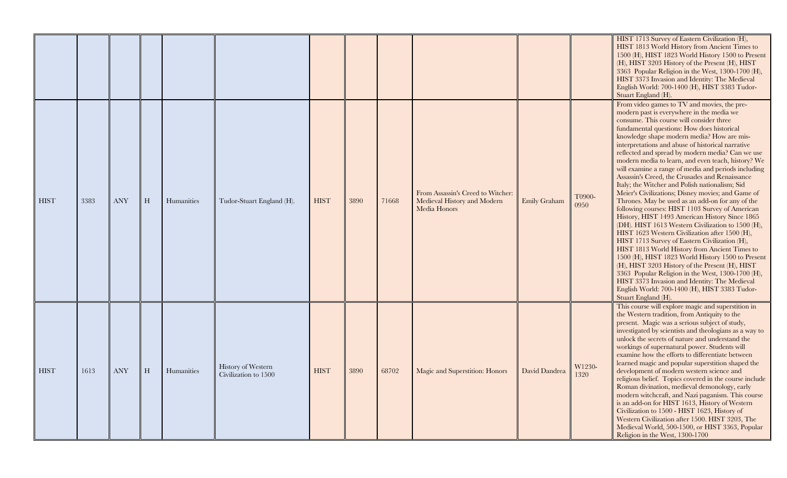|             |      |            |   |            |                                                   |             |      |       |                                                                                  |               |                | HIST 1713 Survey of Eastern Civilization (H),<br>HIST 1813 World History from Ancient Times to<br>1500 (H), HIST 1823 World History 1500 to Present<br>(H), HIST 3203 History of the Present (H), HIST<br>3363 Popular Religion in the West, 1300-1700 (H),<br>HIST 3373 Invasion and Identity: The Medieval<br>English World: 700-1400 (H), HIST 3383 Tudor-<br>Stuart England (H).                                                                                                                                                                                                                                                                                                                                                                                                                                                                                                                                                                                                                                                                                                                                                                                                                                                                                    |
|-------------|------|------------|---|------------|---------------------------------------------------|-------------|------|-------|----------------------------------------------------------------------------------|---------------|----------------|-------------------------------------------------------------------------------------------------------------------------------------------------------------------------------------------------------------------------------------------------------------------------------------------------------------------------------------------------------------------------------------------------------------------------------------------------------------------------------------------------------------------------------------------------------------------------------------------------------------------------------------------------------------------------------------------------------------------------------------------------------------------------------------------------------------------------------------------------------------------------------------------------------------------------------------------------------------------------------------------------------------------------------------------------------------------------------------------------------------------------------------------------------------------------------------------------------------------------------------------------------------------------|
| <b>HIST</b> | 3383 | <b>ANY</b> | H | Humanities | Tudor-Stuart England (H).                         | <b>HIST</b> | 3890 | 71668 | From Assassin's Creed to Witcher:<br>Medieval History and Modern<br>Media Honors | Emily Graham  | T0900-<br>0950 | From video games to TV and movies, the pre-<br>modern past is everywhere in the media we<br>consume. This course will consider three<br>fundamental questions: How does historical<br>knowledge shape modern media? How are mis-<br>interpretations and abuse of historical narrative<br>reflected and spread by modern media? Can we use<br>modern media to learn, and even teach, history? We<br>will examine a range of media and periods including<br>Assassin's Creed, the Crusades and Renaissance<br>Italy; the Witcher and Polish nationalism; Sid<br>Meier's Civilizations; Disney movies; and Game of<br>Thrones. May be used as an add-on for any of the<br>following courses: HIST 1103 Survey of American<br>History, HIST 1493 American History Since 1865<br>(DH). HIST 1613 Western Civilization to 1500 (H),<br>HIST 1623 Western Civilization after 1500 (H),<br>HIST 1713 Survey of Eastern Civilization (H),<br>HIST 1813 World History from Ancient Times to<br>1500 (H), HIST 1823 World History 1500 to Present<br>(H), HIST 3203 History of the Present (H), HIST<br>3363 Popular Religion in the West, 1300-1700 (H),<br>HIST 3373 Invasion and Identity: The Medieval<br>English World: 700-1400 (H), HIST 3383 Tudor-<br>Stuart England (H). |
| <b>HIST</b> | 1613 | <b>ANY</b> | H | Humanities | <b>History of Western</b><br>Civilization to 1500 | <b>HIST</b> | 3890 | 68702 | Magic and Superstition: Honors                                                   | David Dandrea | W1230-<br>1320 | This course will explore magic and superstition in<br>the Western tradition, from Antiquity to the<br>present. Magic was a serious subject of study,<br>investigated by scientists and theologians as a way to<br>unlock the secrets of nature and understand the<br>workings of supernatural power. Students will<br>examine how the efforts to differentiate between<br>learned magic and popular superstition shaped the<br>development of modern western science and<br>religious belief. Topics covered in the course include<br>Roman divination, medieval demonology, early<br>modern witchcraft, and Nazi paganism. This course<br>is an add-on for HIST 1613, History of Western<br>Civilization to 1500 - HIST 1623, History of<br>Western Civilization after 1500. HIST 3203, The<br>Medieval World, 500-1500, or HIST 3363, Popular<br>Religion in the West, 1300-1700                                                                                                                                                                                                                                                                                                                                                                                      |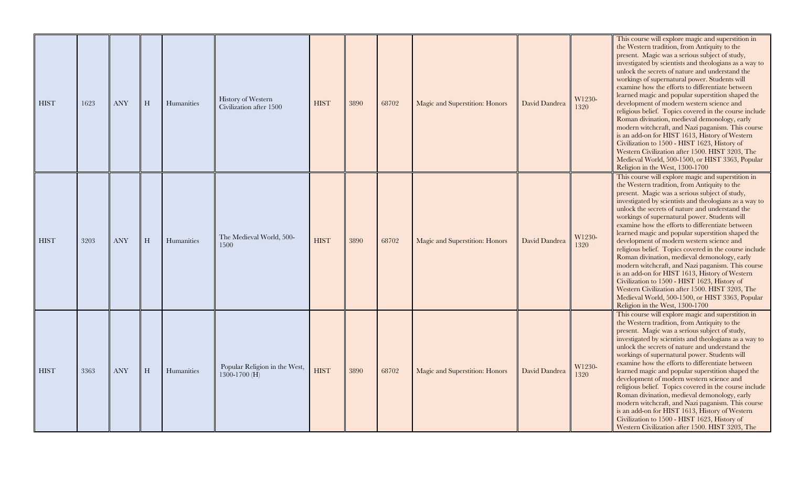| <b>HIST</b> | 1623 | <b>ANY</b> | H | Humanities | <b>History of Western</b><br>Civilization after 1500 | <b>HIST</b> | 3890 | 68702 | Magic and Superstition: Honors | David Dandrea | W1230-<br>1320 | This course will explore magic and superstition in<br>the Western tradition, from Antiquity to the<br>present. Magic was a serious subject of study,<br>investigated by scientists and theologians as a way to<br>unlock the secrets of nature and understand the<br>workings of supernatural power. Students will<br>examine how the efforts to differentiate between<br>learned magic and popular superstition shaped the<br>development of modern western science and<br>religious belief. Topics covered in the course include<br>Roman divination, medieval demonology, early<br>modern witchcraft, and Nazi paganism. This course<br>is an add-on for HIST 1613, History of Western<br>Civilization to 1500 - HIST 1623, History of<br>Western Civilization after 1500. HIST 3203, The<br>Medieval World, 500-1500, or HIST 3363, Popular<br>Religion in the West, 1300-1700 |
|-------------|------|------------|---|------------|------------------------------------------------------|-------------|------|-------|--------------------------------|---------------|----------------|------------------------------------------------------------------------------------------------------------------------------------------------------------------------------------------------------------------------------------------------------------------------------------------------------------------------------------------------------------------------------------------------------------------------------------------------------------------------------------------------------------------------------------------------------------------------------------------------------------------------------------------------------------------------------------------------------------------------------------------------------------------------------------------------------------------------------------------------------------------------------------|
| <b>HIST</b> | 3203 | <b>ANY</b> | H | Humanities | The Medieval World, 500-<br>1500                     | <b>HIST</b> | 3890 | 68702 | Magic and Superstition: Honors | David Dandrea | W1230-<br>1320 | This course will explore magic and superstition in<br>the Western tradition, from Antiquity to the<br>present. Magic was a serious subject of study,<br>investigated by scientists and theologians as a way to<br>unlock the secrets of nature and understand the<br>workings of supernatural power. Students will<br>examine how the efforts to differentiate between<br>learned magic and popular superstition shaped the<br>development of modern western science and<br>religious belief. Topics covered in the course include<br>Roman divination, medieval demonology, early<br>modern witchcraft, and Nazi paganism. This course<br>is an add-on for HIST 1613, History of Western<br>Civilization to 1500 - HIST 1623, History of<br>Western Civilization after 1500. HIST 3203, The<br>Medieval World, 500-1500, or HIST 3363, Popular<br>Religion in the West, 1300-1700 |
| <b>HIST</b> | 3363 | <b>ANY</b> | H | Humanities | Popular Religion in the West,<br>1300-1700 (H)       | <b>HIST</b> | 3890 | 68702 | Magic and Superstition: Honors | David Dandrea | W1230-<br>1320 | This course will explore magic and superstition in<br>the Western tradition, from Antiquity to the<br>present. Magic was a serious subject of study,<br>investigated by scientists and theologians as a way to<br>unlock the secrets of nature and understand the<br>workings of supernatural power. Students will<br>examine how the efforts to differentiate between<br>learned magic and popular superstition shaped the<br>development of modern western science and<br>religious belief. Topics covered in the course include<br>Roman divination, medieval demonology, early<br>modern witchcraft, and Nazi paganism. This course<br>is an add-on for HIST 1613, History of Western<br>Civilization to 1500 - HIST 1623, History of<br>Western Civilization after 1500. HIST 3203, The                                                                                       |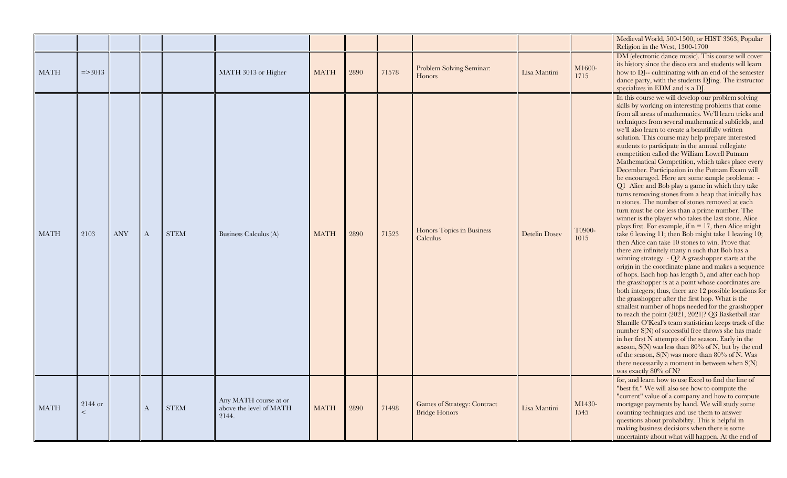|             |                    |            |   |             |                                                           |             |      |       |                                                            |                      |                | Medieval World, 500-1500, or HIST 3363, Popular<br>Religion in the West, 1300-1700                                                                                                                                                                                                                                                                                                                                                                                                                                                                                                                                                                                                                                                                                                                                                                                                                                                                                                                                                                                                                                                                                                                                                                                                                                                                                                                                                                                                                                                                                                                                                                                                                                                                                                                                                                                                                                                  |
|-------------|--------------------|------------|---|-------------|-----------------------------------------------------------|-------------|------|-------|------------------------------------------------------------|----------------------|----------------|-------------------------------------------------------------------------------------------------------------------------------------------------------------------------------------------------------------------------------------------------------------------------------------------------------------------------------------------------------------------------------------------------------------------------------------------------------------------------------------------------------------------------------------------------------------------------------------------------------------------------------------------------------------------------------------------------------------------------------------------------------------------------------------------------------------------------------------------------------------------------------------------------------------------------------------------------------------------------------------------------------------------------------------------------------------------------------------------------------------------------------------------------------------------------------------------------------------------------------------------------------------------------------------------------------------------------------------------------------------------------------------------------------------------------------------------------------------------------------------------------------------------------------------------------------------------------------------------------------------------------------------------------------------------------------------------------------------------------------------------------------------------------------------------------------------------------------------------------------------------------------------------------------------------------------------|
| MATH        | $\approx$ = > 3013 |            |   |             | MATH 3013 or Higher                                       | <b>MATH</b> | 2890 | 71578 | Problem Solving Seminar:<br><b>Honors</b>                  | Lisa Mantini         | M1600-<br>1715 | DM (electronic dance music). This course will cover<br>its history since the disco era and students will learn<br>how to DJ-- culminating with an end of the semester<br>dance party, with the students DJing. The instructor<br>specializes in EDM and is a DJ.                                                                                                                                                                                                                                                                                                                                                                                                                                                                                                                                                                                                                                                                                                                                                                                                                                                                                                                                                                                                                                                                                                                                                                                                                                                                                                                                                                                                                                                                                                                                                                                                                                                                    |
| <b>MATH</b> | 2103               | <b>ANY</b> | A | <b>STEM</b> | Business Calculus (A)                                     | <b>MATH</b> | 2890 | 71523 | Honors Topics in Business<br><b>Calculus</b>               | <b>Detelin Dosey</b> | T0900-<br>1015 | In this course we will develop our problem solving<br>skills by working on interesting problems that come<br>from all areas of mathematics. We'll learn tricks and<br>techniques from several mathematical subfields, and<br>we'll also learn to create a beautifully written<br>solution. This course may help prepare interested<br>students to participate in the annual collegiate<br>competition called the William Lowell Putnam<br>Mathematical Competition, which takes place every<br>December. Participation in the Putnam Exam will<br>be encouraged. Here are some sample problems: -<br>Q1 Alice and Bob play a game in which they take<br>turns removing stones from a heap that initially has<br>n stones. The number of stones removed at each<br>turn must be one less than a prime number. The<br>winner is the player who takes the last stone. Alice<br>plays first. For example, if $n = 17$ , then Alice might<br>take 6 leaving 11; then Bob might take 1 leaving 10;<br>then Alice can take 10 stones to win. Prove that<br>there are infinitely many n such that Bob has a<br>winning strategy. - Q2 A grasshopper starts at the<br>origin in the coordinate plane and makes a sequence<br>of hops. Each hop has length 5, and after each hop<br>the grasshopper is at a point whose coordinates are<br>both integers; thus, there are 12 possible locations for<br>the grasshopper after the first hop. What is the<br>smallest number of hops needed for the grasshopper<br>to reach the point (2021, 2021)? Q3 Basketball star<br>Shanille O'Keal's team statistician keeps track of the<br>number S(N) of successful free throws she has made<br>in her first N attempts of the season. Early in the<br>season, $S(N)$ was less than $80\%$ of N, but by the end<br>of the season, $S(N)$ was more than $80\%$ of N. Was<br>there necessarily a moment in between when $S(N)$<br>was exactly 80% of N? |
| <b>MATH</b> | 2144 or<br>$\lt$   |            | A | <b>STEM</b> | Any MATH course at or<br>above the level of MATH<br>2144. | <b>MATH</b> | 2890 | 71498 | <b>Games of Strategy: Contract</b><br><b>Bridge Honors</b> | Lisa Mantini         | M1430-<br>1545 | for, and learn how to use Excel to find the line of<br>"best fit." We will also see how to compute the<br>"current" value of a company and how to compute<br>mortgage payments by hand. We will study some<br>counting techniques and use them to answer<br>questions about probability. This is helpful in<br>making business decisions when there is some<br>uncertainty about what will happen. At the end of                                                                                                                                                                                                                                                                                                                                                                                                                                                                                                                                                                                                                                                                                                                                                                                                                                                                                                                                                                                                                                                                                                                                                                                                                                                                                                                                                                                                                                                                                                                    |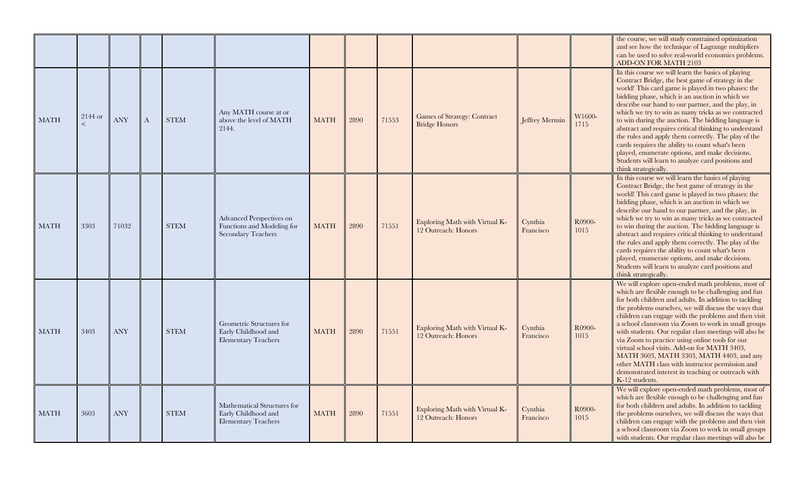|             |         |                      |              |             |                                                                                     |                       |      |       |                                                            |                      |                | the course, we will study constrained optimization<br>and see how the technique of Lagrange multipliers<br>can be used to solve real-world economics problems<br>ADD-ON FOR MATH 2103                                                                                                                                                                                                                                                                                                                                                                                                                                                                                                |
|-------------|---------|----------------------|--------------|-------------|-------------------------------------------------------------------------------------|-----------------------|------|-------|------------------------------------------------------------|----------------------|----------------|--------------------------------------------------------------------------------------------------------------------------------------------------------------------------------------------------------------------------------------------------------------------------------------------------------------------------------------------------------------------------------------------------------------------------------------------------------------------------------------------------------------------------------------------------------------------------------------------------------------------------------------------------------------------------------------|
| <b>MATH</b> | 2144 or | $\operatorname{ANY}$ | $\mathbf{A}$ | <b>STEM</b> | Any MATH course at or<br>above the level of MATH<br>2144.                           | <b>MATH</b>           | 2890 | 71553 | <b>Games of Strategy: Contract</b><br><b>Bridge Honors</b> | Jeffrey Mermin       | W1600-<br>1715 | In this course we will learn the basics of playing<br>Contract Bridge, the best game of strategy in the<br>world! This card game is played in two phases: the<br>bidding phase, which is an auction in which we<br>describe our hand to our partner, and the play, in<br>which we try to win as many tricks as we contracted<br>to win during the auction. The bidding language is<br>abstract and requires critical thinking to understand<br>the rules and apply them correctly. The play of the<br>cards requires the ability to count what's been<br>played, enumerate options, and make decisions.<br>Students will learn to analyze card positions and<br>think strategically. |
| MATH        | 3303    | 71032                |              | <b>STEM</b> | Advanced Perspectives on<br>Functions and Modeling for<br><b>Secondary Teachers</b> | <b>MATH</b>           | 2890 | 71551 | Exploring Math with Virtual K-<br>12 Outreach: Honors      | Cynthia<br>Francisco | R0900-<br>1015 | In this course we will learn the basics of playing<br>Contract Bridge, the best game of strategy in the<br>world! This card game is played in two phases: the<br>bidding phase, which is an auction in which we<br>describe our hand to our partner, and the play, in<br>which we try to win as many tricks as we contracted<br>to win during the auction. The bidding language is<br>abstract and requires critical thinking to understand<br>the rules and apply them correctly. The play of the<br>cards requires the ability to count what's been<br>played, enumerate options, and make decisions.<br>Students will learn to analyze card positions and<br>think strategically. |
| MATH        | 3403    | <b>ANY</b>           |              | <b>STEM</b> | Geometric Structures for<br>Early Childhood and<br><b>Elementary Teachers</b>       | <b>MATH</b>           | 2890 | 71551 | Exploring Math with Virtual K-<br>12 Outreach: Honors      | Cynthia<br>Francisco | R0900-<br>1015 | We will explore open-ended math problems, most of<br>which are flexible enough to be challenging and fun<br>for both children and adults. In addition to tackling<br>the problems ourselves, we will discuss the ways that<br>children can engage with the problems and then visit<br>a school classroom via Zoom to work in small groups<br>with students. Our regular class meetings will also be<br>via Zoom to practice using online tools for our<br>virtual school visits. Add-on for MATH 3403,<br>MATH 3603, MATH 3303, MATH 4403, and any<br>other MATH class with instructor permission and<br>demonstrated interest in teaching or outreach with<br>K-12 students.        |
| MATH        | 3603    | <b>ANY</b>           |              | <b>STEM</b> | Mathematical Structures for<br>Early Childhood and<br><b>Elementary Teachers</b>    | $\operatorname{MATH}$ | 2890 | 71551 | Exploring Math with Virtual K-<br>12 Outreach: Honors      | Cynthia<br>Francisco | R0900-<br>1015 | We will explore open-ended math problems, most of<br>which are flexible enough to be challenging and fun<br>for both children and adults. In addition to tackling<br>the problems ourselves, we will discuss the ways that<br>children can engage with the problems and then visit<br>a school classroom via Zoom to work in small groups<br>with students. Our regular class meetings will also be                                                                                                                                                                                                                                                                                  |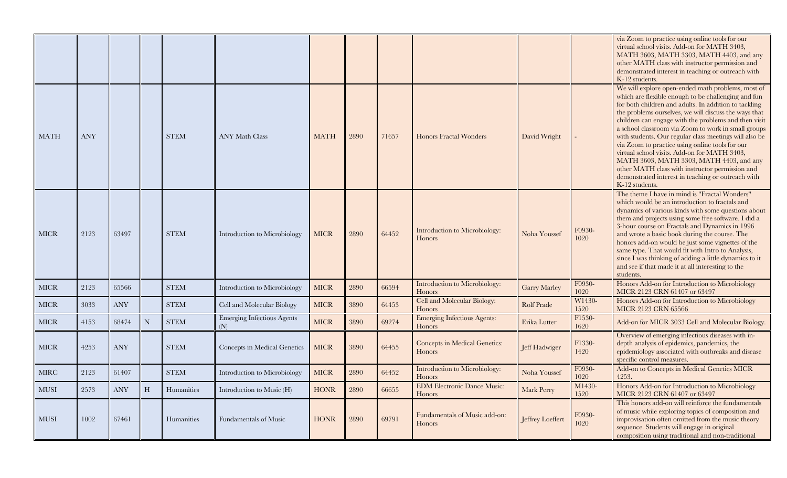|             |      |            |   |             |                                          |             |      |       |                                              |                     |                | via Zoom to practice using online tools for our<br>virtual school visits. Add-on for MATH 3403,<br>MATH 3603, MATH 3303, MATH 4403, and any<br>other MATH class with instructor permission and<br>demonstrated interest in teaching or outreach with<br>K-12 students.                                                                                                                                                                                                                                                                                                                                                                                                        |
|-------------|------|------------|---|-------------|------------------------------------------|-------------|------|-------|----------------------------------------------|---------------------|----------------|-------------------------------------------------------------------------------------------------------------------------------------------------------------------------------------------------------------------------------------------------------------------------------------------------------------------------------------------------------------------------------------------------------------------------------------------------------------------------------------------------------------------------------------------------------------------------------------------------------------------------------------------------------------------------------|
| MATH        | ANY  |            |   | <b>STEM</b> | <b>ANY Math Class</b>                    | <b>MATH</b> | 2890 | 71657 | <b>Honors Fractal Wonders</b>                | David Wright        |                | We will explore open-ended math problems, most of<br>which are flexible enough to be challenging and fun<br>for both children and adults. In addition to tackling<br>the problems ourselves, we will discuss the ways that<br>children can engage with the problems and then visit<br>a school classroom via Zoom to work in small groups<br>with students. Our regular class meetings will also be<br>via Zoom to practice using online tools for our<br>virtual school visits. Add-on for MATH 3403,<br>MATH 3603, MATH 3303, MATH 4403, and any<br>other MATH class with instructor permission and<br>demonstrated interest in teaching or outreach with<br>K-12 students. |
| <b>MICR</b> | 2123 | 63497      |   | <b>STEM</b> | Introduction to Microbiology             | <b>MICR</b> | 2890 | 64452 | Introduction to Microbiology:<br>Honors      | Noha Youssef        | F0930-<br>1020 | The theme I have in mind is "Fractal Wonders"<br>which would be an introduction to fractals and<br>dynamics of various kinds with some questions about<br>them and projects using some free software. I did a<br>3-hour course on Fractals and Dynamics in 1996<br>and wrote a basic book during the course. The<br>honors add-on would be just some vignettes of the<br>same type. That would fit with Intro to Analysis,<br>since I was thinking of adding a little dynamics to it<br>and see if that made it at all interesting to the<br>students.                                                                                                                        |
| <b>MICR</b> | 2123 | 65566      |   | <b>STEM</b> | Introduction to Microbiology             | MICR        | 2890 | 66594 | Introduction to Microbiology:<br>Honors      | <b>Garry Marley</b> | F0930-<br>1020 | Honors Add-on for Introduction to Microbiology<br>MICR 2123 CRN 61407 or 63497                                                                                                                                                                                                                                                                                                                                                                                                                                                                                                                                                                                                |
| <b>MICR</b> | 3033 | <b>ANY</b> |   | <b>STEM</b> | Cell and Molecular Biology               | <b>MICR</b> | 3890 | 64453 | Cell and Molecular Biology:<br>Honors        | <b>Rolf Prade</b>   | W1430-<br>1520 | Honors Add-on for Introduction to Microbiology<br><b>MICR 2123 CRN 65566</b>                                                                                                                                                                                                                                                                                                                                                                                                                                                                                                                                                                                                  |
| <b>MICR</b> | 4153 | 68474      | N | <b>STEM</b> | <b>Emerging Infectious Agents</b><br>(N) | <b>MICR</b> | 3890 | 69274 | <b>Emerging Infectious Agents:</b><br>Honors | Erika Lutter        | F1530-<br>1620 | Add-on for MICR 3033 Cell and Molecular Biology.                                                                                                                                                                                                                                                                                                                                                                                                                                                                                                                                                                                                                              |
| MICR        | 4253 | <b>ANY</b> |   | <b>STEM</b> | Concepts in Medical Genetics             | <b>MICR</b> | 3890 | 64455 | Concepts in Medical Genetics:<br>Honors      | Jeff Hadwiger       | F1330-<br>1420 | Overview of emerging infectious diseases with in-<br>depth analysis of epidemics, pandemics, the<br>epidemiology associated with outbreaks and disease<br>specific control measures.                                                                                                                                                                                                                                                                                                                                                                                                                                                                                          |
| <b>MIRC</b> | 2123 | 61407      |   | <b>STEM</b> | Introduction to Microbiology             | <b>MICR</b> | 2890 | 64452 | Introduction to Microbiology:<br>Honors      | Noha Youssef        | F0930-<br>1020 | Add-on to Concepts in Medical Genetics MICR<br>4253.                                                                                                                                                                                                                                                                                                                                                                                                                                                                                                                                                                                                                          |
| <b>MUSI</b> | 2573 | <b>ANY</b> | H | Humanities  | Introduction to Music (H)                | <b>HONR</b> | 2890 | 66655 | <b>EDM Electronic Dance Music:</b><br>Honors | Mark Perry          | M1430-<br>1520 | Honors Add-on for Introduction to Microbiology<br>MICR 2123 CRN 61407 or 63497                                                                                                                                                                                                                                                                                                                                                                                                                                                                                                                                                                                                |
| <b>MUSI</b> | 1002 | 67461      |   | Humanities  | Fundamentals of Music                    | <b>HONR</b> | 2890 | 69791 | Fundamentals of Music add-on:<br>Honors      | Jeffrey Loeffert    | F0930-<br>1020 | This honors add-on will reinforce the fundamentals<br>of music while exploring topics of composition and<br>improvisation often omitted from the music theory<br>sequence. Students will engage in original<br>composition using traditional and non-traditional                                                                                                                                                                                                                                                                                                                                                                                                              |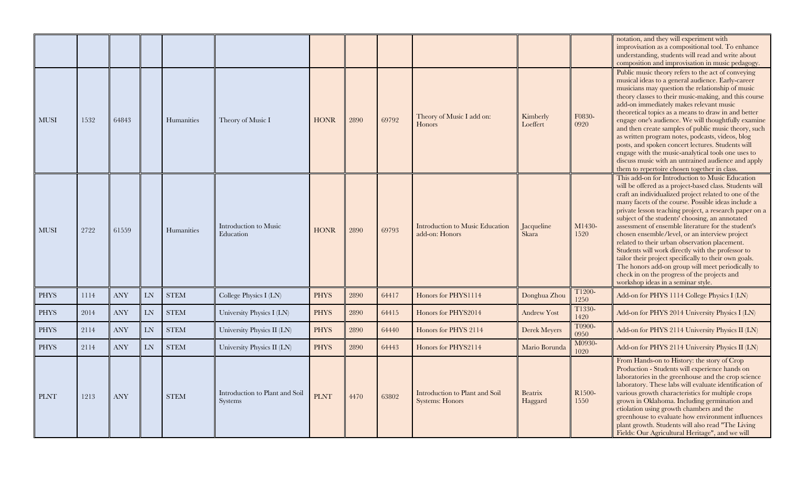|             |      |            |    |              |                                                  |             |      |       |                                                          |                           |                | notation, and they will experiment with<br>improvisation as a compositional tool. To enhance<br>understanding, students will read and write about<br>composition and improvisation in music pedagogy.                                                                                                                                                                                                                                                                                                                                                                                                                                                                                                                                                      |
|-------------|------|------------|----|--------------|--------------------------------------------------|-------------|------|-------|----------------------------------------------------------|---------------------------|----------------|------------------------------------------------------------------------------------------------------------------------------------------------------------------------------------------------------------------------------------------------------------------------------------------------------------------------------------------------------------------------------------------------------------------------------------------------------------------------------------------------------------------------------------------------------------------------------------------------------------------------------------------------------------------------------------------------------------------------------------------------------------|
| MUSI        | 1532 | 64843      |    | Humanities   | Theory of Music I                                | <b>HONR</b> | 2890 | 69792 | Theory of Music I add on:<br>Honors                      | Kimberly<br>Loeffert      | F0830-<br>0920 | Public music theory refers to the act of conveying<br>musical ideas to a general audience. Early-career<br>musicians may question the relationship of music<br>theory classes to their music-making, and this course<br>add-on immediately makes relevant music<br>theoretical topics as a means to draw in and better<br>engage one's audience. We will thoughtfully examine<br>and then create samples of public music theory, such<br>as written program notes, podcasts, videos, blog<br>posts, and spoken concert lectures. Students will<br>engage with the music-analytical tools one uses to<br>discuss music with an untrained audience and apply<br>them to repertoire chosen together in class.                                                 |
| <b>MUSI</b> | 2722 | 61559      |    | Humanities   | Introduction to Music<br>Education               | <b>HONR</b> | 2890 | 69793 | Introduction to Music Education<br>add-on: Honors        | Jacqueline<br>Skara       | M1430-<br>1520 | This add-on for Introduction to Music Education<br>will be offered as a project-based class. Students will<br>craft an individualized project related to one of the<br>many facets of the course. Possible ideas include a<br>private lesson teaching project, a research paper on a<br>subject of the students' choosing, an annotated<br>assessment of ensemble literature for the student's<br>chosen ensemble/level, or an interview project<br>related to their urban observation placement.<br>Students will work directly with the professor to<br>tailor their project specifically to their own goals.<br>The honors add-on group will meet periodically to<br>check in on the progress of the projects and<br>workshop ideas in a seminar style. |
| <b>PHYS</b> | 1114 | <b>ANY</b> | LN | ${\it STEM}$ | College Physics I (LN)                           | <b>PHYS</b> | 2890 | 64417 | Honors for PHYS1114                                      | Donghua Zhou              | T1200-<br>1250 | Add-on for PHYS 1114 College Physics I (LN)                                                                                                                                                                                                                                                                                                                                                                                                                                                                                                                                                                                                                                                                                                                |
| PHYS        | 2014 | <b>ANY</b> | LN | <b>STEM</b>  | University Physics I (LN)                        | <b>PHYS</b> | 2890 | 64415 | Honors for PHYS2014                                      | <b>Andrew Yost</b>        | T1330-<br>1420 | Add-on for PHYS 2014 University Physics I (LN)                                                                                                                                                                                                                                                                                                                                                                                                                                                                                                                                                                                                                                                                                                             |
| PHYS        | 2114 | <b>ANY</b> | LN | <b>STEM</b>  | University Physics II (LN)                       | <b>PHYS</b> | 2890 | 64440 | Honors for PHYS 2114                                     | Derek Meyers              | T0900-<br>0950 | Add-on for PHYS 2114 University Physics II (LN)                                                                                                                                                                                                                                                                                                                                                                                                                                                                                                                                                                                                                                                                                                            |
| PHYS        | 2114 | <b>ANY</b> | LN | <b>STEM</b>  | University Physics II (LN)                       | <b>PHYS</b> | 2890 | 64443 | Honors for PHYS2114                                      | Mario Borunda             | M0930-<br>1020 | Add-on for PHYS 2114 University Physics II (LN)                                                                                                                                                                                                                                                                                                                                                                                                                                                                                                                                                                                                                                                                                                            |
| <b>PLNT</b> | 1213 | <b>ANY</b> |    | <b>STEM</b>  | Introduction to Plant and Soil<br><b>Systems</b> | <b>PLNT</b> | 4470 | 63802 | Introduction to Plant and Soil<br><b>Systems: Honors</b> | <b>Beatrix</b><br>Haggard | R1500-<br>1550 | From Hands-on to History: the story of Crop<br>Production - Students will experience hands on<br>laboratories in the greenhouse and the crop science<br>laboratory. These labs will evaluate identification of<br>various growth characteristics for multiple crops<br>grown in Oklahoma. Including germination and<br>etiolation using growth chambers and the<br>greenhouse to evaluate how environment influences<br>plant growth. Students will also read "The Living<br>Fields: Our Agricultural Heritage", and we will                                                                                                                                                                                                                               |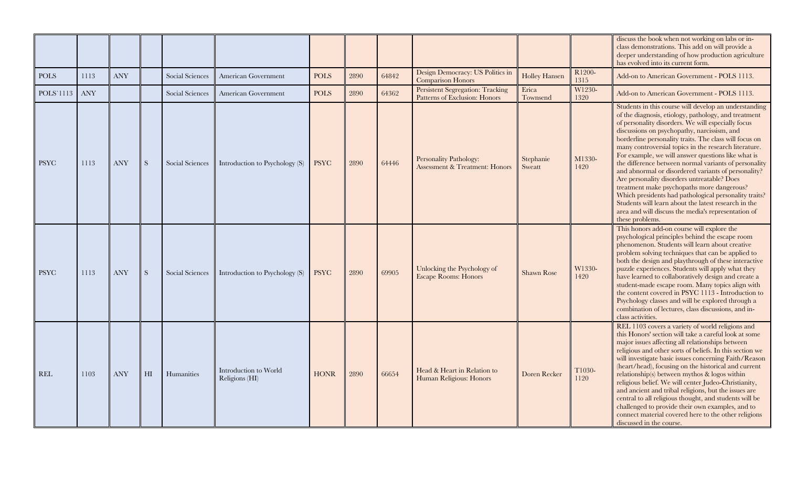|             |      |            |                |                 |                                         |             |      |       |                                                                     |                      |                | discuss the book when not working on labs or in-<br>class demonstrations. This add on will provide a<br>deeper understanding of how production agriculture<br>has evolved into its current form.                                                                                                                                                                                                                                                                                                                                                                                                                                                                                                                                                                                                    |
|-------------|------|------------|----------------|-----------------|-----------------------------------------|-------------|------|-------|---------------------------------------------------------------------|----------------------|----------------|-----------------------------------------------------------------------------------------------------------------------------------------------------------------------------------------------------------------------------------------------------------------------------------------------------------------------------------------------------------------------------------------------------------------------------------------------------------------------------------------------------------------------------------------------------------------------------------------------------------------------------------------------------------------------------------------------------------------------------------------------------------------------------------------------------|
| <b>POLS</b> | 1113 | <b>ANY</b> |                | Social Sciences | American Government                     | <b>POLS</b> | 2890 | 64842 | Design Democracy: US Politics in<br><b>Comparison Honors</b>        | <b>Holley Hansen</b> | R1200-<br>1315 | Add-on to American Government - POLS 1113.                                                                                                                                                                                                                                                                                                                                                                                                                                                                                                                                                                                                                                                                                                                                                          |
| POLS'1113   | ANY  |            |                | Social Sciences | American Government                     | <b>POLS</b> | 2890 | 64362 | Persistent Segregation: Tracking<br>Patterns of Exclusion: Honors   | Erica<br>Townsend    | W1230-<br>1320 | Add-on to American Government - POLS 1113.                                                                                                                                                                                                                                                                                                                                                                                                                                                                                                                                                                                                                                                                                                                                                          |
| <b>PSYC</b> | 1113 | <b>ANY</b> | S              | Social Sciences | Introduction to Psychology (S)          | <b>PSYC</b> | 2890 | 64446 | Personality Pathology:<br><b>Assessment &amp; Treatment: Honors</b> | Stephanie<br>Sweatt  | M1330-<br>1420 | Students in this course will develop an understanding<br>of the diagnosis, etiology, pathology, and treatment<br>of personality disorders. We will especially focus<br>discussions on psychopathy, narcissism, and<br>borderline personality traits. The class will focus on<br>many controversial topics in the research literature.<br>For example, we will answer questions like what is<br>the difference between normal variants of personality<br>and abnormal or disordered variants of personality?<br>Are personality disorders untreatable? Does<br>treatment make psychopaths more dangerous?<br>Which presidents had pathological personality traits?<br>Students will learn about the latest research in the<br>area and will discuss the media's representation of<br>these problems. |
| <b>PSYC</b> | 1113 | <b>ANY</b> | S              | Social Sciences | Introduction to Psychology (S)          | <b>PSYC</b> | 2890 | 69905 | Unlocking the Psychology of<br><b>Escape Rooms: Honors</b>          | <b>Shawn Rose</b>    | W1330-<br>1420 | This honors add-on course will explore the<br>psychological principles behind the escape room<br>phenomenon. Students will learn about creative<br>problem solving techniques that can be applied to<br>both the design and playthrough of these interactive<br>puzzle experiences. Students will apply what they<br>have learned to collaboratively design and create a<br>student-made escape room. Many topics align with<br>the content covered in PSYC 1113 - Introduction to<br>Psychology classes and will be explored through a<br>combination of lectures, class discussions, and in-<br>class activities.                                                                                                                                                                                 |
| REL         | 1103 | <b>ANY</b> | H <sub>I</sub> | Humanities      | Introduction to World<br>Religions (HI) | <b>HONR</b> | 2890 | 66654 | Head & Heart in Relation to<br>Human Religious: Honors              | Doren Recker         | T1030-<br>1120 | REL 1103 covers a variety of world religions and<br>this Honors' section will take a careful look at some<br>major issues affecting all relationships between<br>religious and other sorts of beliefs. In this section we<br>will investigate basic issues concerning Faith/Reason<br>(heart/head), focusing on the historical and current<br>relationship(s) between mythos & logos within<br>religious belief. We will center Judeo-Christianity,<br>and ancient and tribal religions, but the issues are<br>central to all religious thought, and students will be<br>challenged to provide their own examples, and to<br>connect material covered here to the other religions<br>discussed in the course.                                                                                       |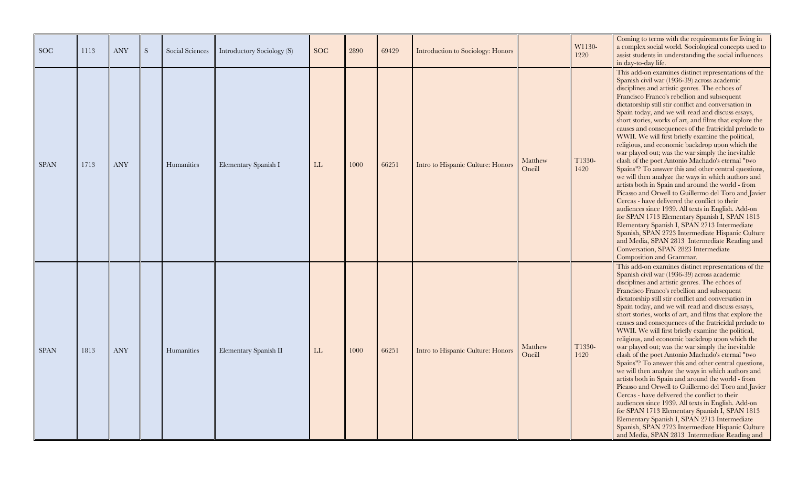| <b>SOC</b>  | 1113 | <b>ANY</b> | <sub>S</sub> | Social Sciences | Introductory Sociology (S) | <b>SOC</b> | 2890 | 69429 | Introduction to Sociology: Honors |                   | W1130-<br>1220 | Coming to terms with the requirements for living in<br>a complex social world. Sociological concepts used to<br>assist students in understanding the social influences<br>in day-to-day life.                                                                                                                                                                                                                                                                                                                                                                                                                                                                                                                                                                                                                                                                                                                                                                                                                                                                                                                                                                                                                                                                      |
|-------------|------|------------|--------------|-----------------|----------------------------|------------|------|-------|-----------------------------------|-------------------|----------------|--------------------------------------------------------------------------------------------------------------------------------------------------------------------------------------------------------------------------------------------------------------------------------------------------------------------------------------------------------------------------------------------------------------------------------------------------------------------------------------------------------------------------------------------------------------------------------------------------------------------------------------------------------------------------------------------------------------------------------------------------------------------------------------------------------------------------------------------------------------------------------------------------------------------------------------------------------------------------------------------------------------------------------------------------------------------------------------------------------------------------------------------------------------------------------------------------------------------------------------------------------------------|
| <b>SPAN</b> | 1713 | <b>ANY</b> |              | Humanities      | Elementary Spanish I       | LL         | 1000 | 66251 | Intro to Hispanic Culture: Honors | Matthew<br>Oneill | T1330-<br>1420 | This add-on examines distinct representations of the<br>Spanish civil war (1936-39) across academic<br>disciplines and artistic genres. The echoes of<br>Francisco Franco's rebellion and subsequent<br>dictatorship still stir conflict and conversation in<br>Spain today, and we will read and discuss essays,<br>short stories, works of art, and films that explore the<br>causes and consequences of the fratricidal prelude to<br>WWII. We will first briefly examine the political,<br>religious, and economic backdrop upon which the<br>war played out; was the war simply the inevitable<br>clash of the poet Antonio Machado's eternal "two<br>Spains"? To answer this and other central questions,<br>we will then analyze the ways in which authors and<br>artists both in Spain and around the world - from<br>Picasso and Orwell to Guillermo del Toro and Javier<br>Cercas - have delivered the conflict to their<br>audiences since 1939. All texts in English. Add-on<br>for SPAN 1713 Elementary Spanish I, SPAN 1813<br>Elementary Spanish I, SPAN 2713 Intermediate<br>Spanish, SPAN 2723 Intermediate Hispanic Culture<br>and Media, SPAN 2813 Intermediate Reading and<br>Conversation, SPAN 2823 Intermediate<br>Composition and Grammar. |
| <b>SPAN</b> | 1813 | <b>ANY</b> |              | Humanities      | Elementary Spanish II      | LL         | 1000 | 66251 | Intro to Hispanic Culture: Honors | Matthew<br>Oneill | T1330-<br>1420 | This add-on examines distinct representations of the<br>Spanish civil war (1936-39) across academic<br>disciplines and artistic genres. The echoes of<br>Francisco Franco's rebellion and subsequent<br>dictatorship still stir conflict and conversation in<br>Spain today, and we will read and discuss essays,<br>short stories, works of art, and films that explore the<br>causes and consequences of the fratricidal prelude to<br>WWII. We will first briefly examine the political,<br>religious, and economic backdrop upon which the<br>war played out; was the war simply the inevitable<br>clash of the poet Antonio Machado's eternal "two<br>Spains"? To answer this and other central questions,<br>we will then analyze the ways in which authors and<br>artists both in Spain and around the world - from<br>Picasso and Orwell to Guillermo del Toro and Javier<br>Cercas - have delivered the conflict to their<br>audiences since 1939. All texts in English. Add-on<br>for SPAN 1713 Elementary Spanish I, SPAN 1813<br>Elementary Spanish I, SPAN 2713 Intermediate<br>Spanish, SPAN 2723 Intermediate Hispanic Culture<br>and Media, SPAN 2813 Intermediate Reading and                                                                     |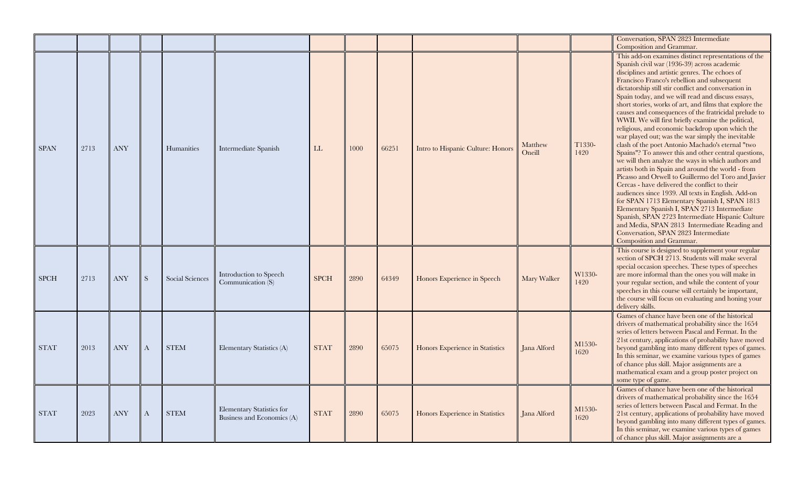|             |      |                      |              |                 |                                                         |             |      |       |                                   |                   |                | Conversation, SPAN 2823 Intermediate                                                                                                                                                                                                                                                                                                                                                                                                                                                                                                                                                                                                                                                                                                                                                                                                                                                                                                                                                                                                                                                                                                                                                                                                                                                           |
|-------------|------|----------------------|--------------|-----------------|---------------------------------------------------------|-------------|------|-------|-----------------------------------|-------------------|----------------|------------------------------------------------------------------------------------------------------------------------------------------------------------------------------------------------------------------------------------------------------------------------------------------------------------------------------------------------------------------------------------------------------------------------------------------------------------------------------------------------------------------------------------------------------------------------------------------------------------------------------------------------------------------------------------------------------------------------------------------------------------------------------------------------------------------------------------------------------------------------------------------------------------------------------------------------------------------------------------------------------------------------------------------------------------------------------------------------------------------------------------------------------------------------------------------------------------------------------------------------------------------------------------------------|
| <b>SPAN</b> | 2713 | <b>ANY</b>           |              | Humanities      | Intermediate Spanish                                    | LL          | 1000 | 66251 | Intro to Hispanic Culture: Honors | Matthew<br>Oneill | T1330-<br>1420 | Composition and Grammar.<br>This add-on examines distinct representations of the<br>Spanish civil war (1936-39) across academic<br>disciplines and artistic genres. The echoes of<br>Francisco Franco's rebellion and subsequent<br>dictatorship still stir conflict and conversation in<br>Spain today, and we will read and discuss essays,<br>short stories, works of art, and films that explore the<br>causes and consequences of the fratricidal prelude to<br>WWII. We will first briefly examine the political,<br>religious, and economic backdrop upon which the<br>war played out; was the war simply the inevitable<br>clash of the poet Antonio Machado's eternal "two<br>Spains"? To answer this and other central questions,<br>we will then analyze the ways in which authors and<br>artists both in Spain and around the world - from<br>Picasso and Orwell to Guillermo del Toro and Javier<br>Cercas - have delivered the conflict to their<br>audiences since 1939. All texts in English. Add-on<br>for SPAN 1713 Elementary Spanish I, SPAN 1813<br>Elementary Spanish I, SPAN 2713 Intermediate<br>Spanish, SPAN 2723 Intermediate Hispanic Culture<br>and Media, SPAN 2813 Intermediate Reading and<br>Conversation, SPAN 2823 Intermediate<br>Composition and Grammar. |
| <b>SPCH</b> | 2713 | <b>ANY</b>           | S            | Social Sciences | Introduction to Speech<br>Communication (S)             | <b>SPCH</b> | 2890 | 64349 | Honors Experience in Speech       | Mary Walker       | W1330-<br>1420 | This course is designed to supplement your regular<br>section of SPCH 2713. Students will make several<br>special occasion speeches. These types of speeches<br>are more informal than the ones you will make in<br>your regular section, and while the content of your<br>speeches in this course will certainly be important,<br>the course will focus on evaluating and honing your<br>delivery skills.                                                                                                                                                                                                                                                                                                                                                                                                                                                                                                                                                                                                                                                                                                                                                                                                                                                                                     |
| <b>STAT</b> | 2013 | ANY                  | $\mathbf{A}$ | <b>STEM</b>     | Elementary Statistics (A)                               | <b>STAT</b> | 2890 | 65075 | Honors Experience in Statistics   | Jana Alford       | M1530-<br>1620 | Games of chance have been one of the historical<br>drivers of mathematical probability since the 1654<br>series of letters between Pascal and Fermat. In the<br>21st century, applications of probability have moved<br>beyond gambling into many different types of games.<br>In this seminar, we examine various types of games<br>of chance plus skill. Major assignments are a<br>mathematical exam and a group poster project on<br>some type of game.                                                                                                                                                                                                                                                                                                                                                                                                                                                                                                                                                                                                                                                                                                                                                                                                                                    |
| <b>STAT</b> | 2023 | $\operatorname{ANY}$ | A            | <b>STEM</b>     | Elementary Statistics for<br>Business and Economics (A) | <b>STAT</b> | 2890 | 65075 | Honors Experience in Statistics   | Jana Alford       | M1530-<br>1620 | Games of chance have been one of the historical<br>drivers of mathematical probability since the 1654<br>series of letters between Pascal and Fermat. In the<br>21st century, applications of probability have moved<br>beyond gambling into many different types of games.<br>In this seminar, we examine various types of games<br>of chance plus skill. Major assignments are a                                                                                                                                                                                                                                                                                                                                                                                                                                                                                                                                                                                                                                                                                                                                                                                                                                                                                                             |